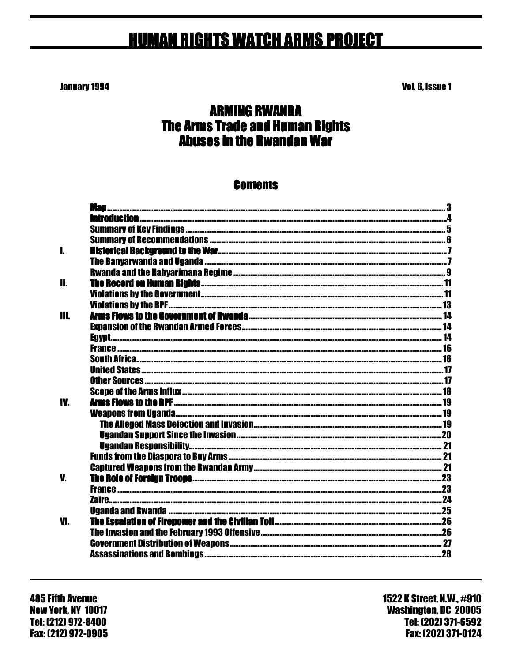# **HUMAN RIGHTS WATCH ARMS PROJECT**

**January 1994** 

Vol. 6, Issue 1

## **ARMING RWANDA The Arms Trade and Human Rights Abuses in the Rwandan War**

### **Contents**

| L   |                                                                                                                                                   |  |
|-----|---------------------------------------------------------------------------------------------------------------------------------------------------|--|
|     |                                                                                                                                                   |  |
|     |                                                                                                                                                   |  |
| П.  |                                                                                                                                                   |  |
|     |                                                                                                                                                   |  |
|     |                                                                                                                                                   |  |
| Ш.  |                                                                                                                                                   |  |
|     |                                                                                                                                                   |  |
|     |                                                                                                                                                   |  |
|     |                                                                                                                                                   |  |
|     |                                                                                                                                                   |  |
|     |                                                                                                                                                   |  |
|     |                                                                                                                                                   |  |
|     |                                                                                                                                                   |  |
| IV. |                                                                                                                                                   |  |
|     |                                                                                                                                                   |  |
|     |                                                                                                                                                   |  |
|     |                                                                                                                                                   |  |
|     |                                                                                                                                                   |  |
|     |                                                                                                                                                   |  |
|     |                                                                                                                                                   |  |
| V.  |                                                                                                                                                   |  |
|     |                                                                                                                                                   |  |
|     | <u> 24 Anis (alimetic communication and communication and communication and communication and communication and communication <math>24</math></u> |  |
|     |                                                                                                                                                   |  |
| VI. |                                                                                                                                                   |  |
|     |                                                                                                                                                   |  |
|     |                                                                                                                                                   |  |
|     |                                                                                                                                                   |  |
|     |                                                                                                                                                   |  |

**485 Fifth Avenue New York. NY 10017** Tel: (212) 972-8400 Fax: (212) 972-0905 1522 K Street, N.W., #910 **Washington, DC 20005** Tel: [202] 371-6592 Fax: (202) 371-0124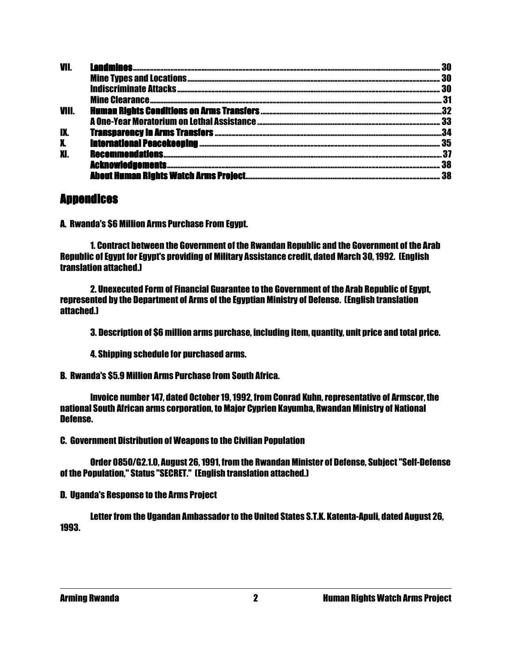| VII.      |     |
|-----------|-----|
|           | 30  |
|           | 30  |
|           | 31  |
| VIII.     | .32 |
|           |     |
| IX.       | 34  |
| X.        | 35  |
| <b>XI</b> | 37  |
|           | 38  |
|           |     |

### **Annendices**

A. Rwanda's \$6 Million Arms Purchase From Egypt.

 1. Contract between the Government of the Rwandan Republic and the Government of the Arab Republic of Egypt for Egypt's providing of Military Assistance credit, dated March 30, 1992. (English translation attached.)

 2. Unexecuted Form of Financial Guarantee to the Government of the Arab Republic of Egypt, represented by the Department of Arms of the Egyptian Ministry of Defense. (English translation attached.)

3. Description of \$6 million arms purchase, including item, quantity, unit price and total price.

4. Shipping schedule for purchased arms.

B. Rwanda's \$5.9 Million Arms Purchase from South Africa.

 Invoice number 147, dated October 19, 1992, from Conrad Kuhn, representative of Armscor, the national South African arms corporation, to Major Cyprien Kayumba, Rwandan Ministry of National Defense.

C. Government Distribution of Weapons to the Civilian Population

 Order 0850/G2.1.0, August 26, 1991, from the Rwandan Minister of Defense, Subject "Self-Defense of the Population," Status "SECRET." (English translation attached.)

D. Uganda's Response to the Arms Project

 Letter from the Ugandan Ambassador to the United States S.T.K. Katenta-Apuli, dated August 26, 1993.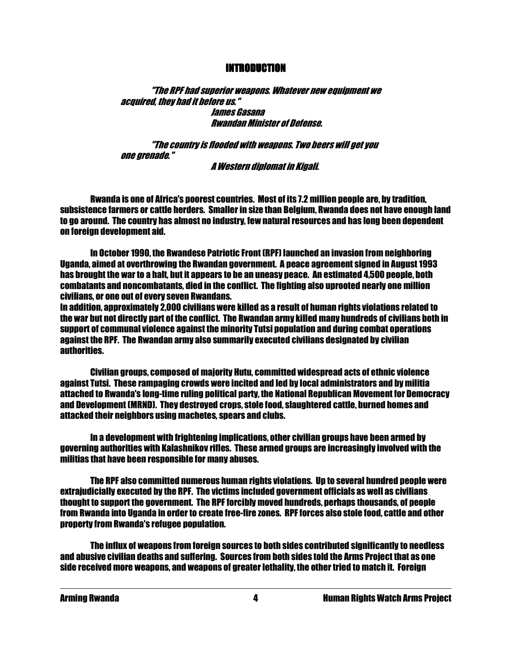#### INTRODUCTION INTRODUCTION

 "The RPF had superior weapons. Whatever new equipment we acquired, they had it before us." James Gasana Rwandan Minister of Defense.

 "The country is flooded with weapons. Two beers will get you one grenade."

A Western diplomat in Kigali.

 Rwanda is one of Africa's poorest countries. Most of its 7.2 million people are, by tradition, subsistence farmers or cattle herders. Smaller in size than Belgium, Rwanda does not have enough land to go around. The country has almost no industry, few natural resources and has long been dependent on foreign development aid.

 In October 1990, the Rwandese Patriotic Front (RPF) launched an invasion from neighboring Uganda, aimed at overthrowing the Rwandan government. A peace agreement signed in August 1993 has brought the war to a halt, but it appears to be an uneasy peace. An estimated 4,500 people, both combatants and noncombatants, died in the conflict. The fighting also uprooted nearly one million civilians, or one out of every seven Rwandans.

In addition, approximately 2,000 civilians were killed as a result of human rights violations related to the war but not directly part of the conflict. The Rwandan army killed many hundreds of civilians both in support of communal violence against the minority Tutsi population and during combat operations against the RPF. The Rwandan army also summarily executed civilians designated by civilian authorities.

 Civilian groups, composed of majority Hutu, committed widespread acts of ethnic violence against Tutsi. These rampaging crowds were incited and led by local administrators and by militia attached to Rwanda's long-time ruling political party, the National Republican Movement for Democracy and Development (MRND). They destroyed crops, stole food, slaughtered cattle, burned homes and attacked their neighbors using machetes, spears and clubs.

 In a development with frightening implications, other civilian groups have been armed by governing authorities with Kalashnikov rifles. These armed groups are increasingly involved with the militias that have been responsible for many abuses.

 The RPF also committed numerous human rights violations. Up to several hundred people were extrajudicially executed by the RPF. The victims included government officials as well as civilians thought to support the government. The RPF forcibly moved hundreds, perhaps thousands, of people from Rwanda into Uganda in order to create free-fire zones. RPF forces also stole food, cattle and other property from Rwanda's refugee population.

 The influx of weapons from foreign sources to both sides contributed significantly to needless and abusive civilian deaths and suffering. Sources from both sides told the Arms Project that as one side received more weapons, and weapons of greater lethality, the other tried to match it. Foreign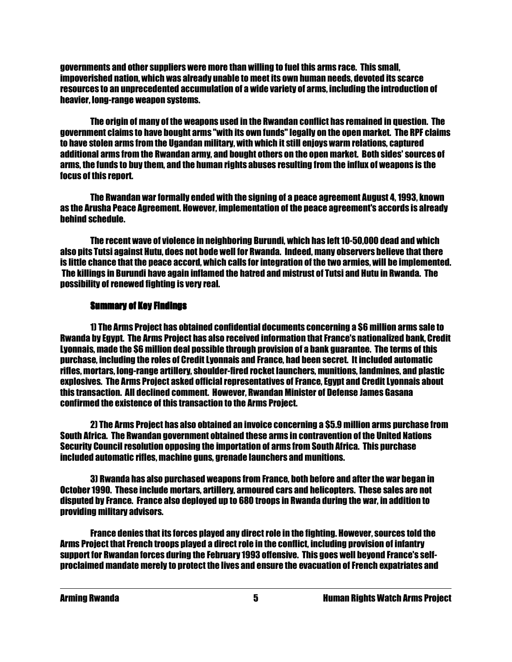governments and other suppliers were more than willing to fuel this arms race. This small, impoverished nation, which was already unable to meet its own human needs, devoted its scarce resources to an unprecedented accumulation of a wide variety of arms, including the introduction of heavier, long-range weapon systems.

 The origin of many of the weapons used in the Rwandan conflict has remained in question. The government claims to have bought arms "with its own funds" legally on the open market. The RPF claims to have stolen arms from the Ugandan military, with which it still enjoys warm relations, captured additional arms from the Rwandan army, and bought others on the open market. Both sides' sources of arms, the funds to buy them, and the human rights abuses resulting from the influx of weapons is the focus of this report.

 The Rwandan war formally ended with the signing of a peace agreement August 4, 1993, known as the Arusha Peace Agreement. However, implementation of the peace agreement's accords is already behind schedule.

 The recent wave of violence in neighboring Burundi, which has left 10-50,000 dead and which also pits Tutsi against Hutu, does not bode well for Rwanda. Indeed, many observers believe that there is little chance that the peace accord, which calls for integration of the two armies, will be implemented. The killings in Burundi have again inflamed the hatred and mistrust of Tutsi and Hutu in Rwanda. The possibility of renewed fighting is very real.

#### **Summary of Key Findings**

 1) The Arms Project has obtained confidential documents concerning a \$6 million arms sale to Rwanda by Egypt. The Arms Project has also received information that France's nationalized bank, Credit Lyonnais, made the \$6 million deal possible through provision of a bank guarantee. The terms of this purchase, including the roles of Credit Lyonnais and France, had been secret. It included automatic rifles, mortars, long-range artillery, shoulder-fired rocket launchers, munitions, landmines, and plastic explosives. The Arms Project asked official representatives of France, Egypt and Credit Lyonnais about this transaction. All declined comment. However, Rwandan Minister of Defense James Gasana confirmed the existence of this transaction to the Arms Project.

 2) The Arms Project has also obtained an invoice concerning a \$5.9 million arms purchase from South Africa. The Rwandan government obtained these arms in contravention of the United Nations Security Council resolution opposing the importation of arms from South Africa. This purchase included automatic rifles, machine guns, grenade launchers and munitions.

 3) Rwanda has also purchased weapons from France, both before and after the war began in October 1990. These include mortars, artillery, armoured cars and helicopters. These sales are not disputed by France. France also deployed up to 680 troops in Rwanda during the war, in addition to providing military advisors.

 France denies that its forces played any direct role in the fighting. However, sources told the Arms Project that French troops played a direct role in the conflict, including provision of infantry support for Rwandan forces during the February 1993 offensive. This goes well beyond France's selfproclaimed mandate merely to protect the lives and ensure the evacuation of French expatriates and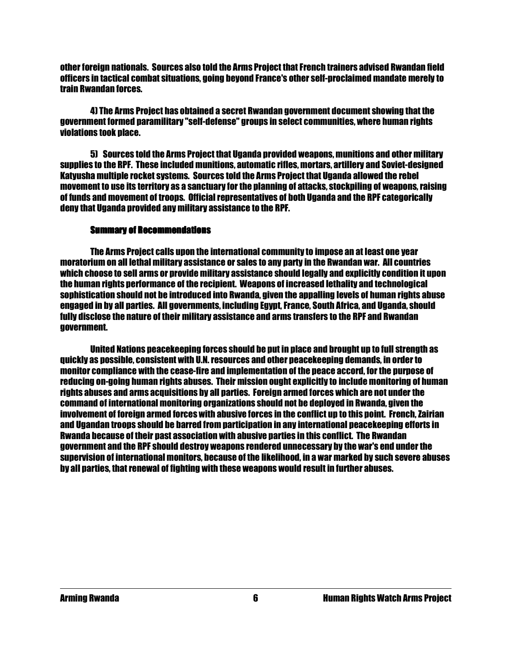other foreign nationals. Sources also told the Arms Project that French trainers advised Rwandan field officers in tactical combat situations, going beyond France's other self-proclaimed mandate merely to train Rwandan forces.

 4) The Arms Project has obtained a secret Rwandan government document showing that the government formed paramilitary "self-defense" groups in select communities, where human rights violations took place.

 5) Sources told the Arms Project that Uganda provided weapons, munitions and other military supplies to the RPF. These included munitions, automatic rifles, mortars, artillery and Soviet-designed Katyusha multiple rocket systems. Sources told the Arms Project that Uganda allowed the rebel movement to use its territory as a sanctuary for the planning of attacks, stockpiling of weapons, raising of funds and movement of troops. Official representatives of both Uganda and the RPF categorically deny that Uganda provided any military assistance to the RPF.

#### **Summary of Recommendations**

 The Arms Project calls upon the international community to impose an at least one year moratorium on all lethal military assistance or sales to any party in the Rwandan war. All countries which choose to sell arms or provide military assistance should legally and explicitly condition it upon the human rights performance of the recipient. Weapons of increased lethality and technological sophistication should not be introduced into Rwanda, given the appalling levels of human rights abuse engaged in by all parties. All governments, including Egypt, France, South Africa, and Uganda, should fully disclose the nature of their military assistance and arms transfers to the RPF and Rwandan government.

 United Nations peacekeeping forces should be put in place and brought up to full strength as quickly as possible, consistent with U.N. resources and other peacekeeping demands, in order to monitor compliance with the cease-fire and implementation of the peace accord, for the purpose of reducing on-going human rights abuses. Their mission ought explicitly to include monitoring of human rights abuses and arms acquisitions by all parties. Foreign armed forces which are not under the command of international monitoring organizations should not be deployed in Rwanda, given the involvement of foreign armed forces with abusive forces in the conflict up to this point. French, Zairian and Ugandan troops should be barred from participation in any international peacekeeping efforts in Rwanda because of their past association with abusive parties in this conflict. The Rwandan government and the RPF should destroy weapons rendered unnecessary by the war's end under the supervision of international monitors, because of the likelihood, in a war marked by such severe abuses by all parties, that renewal of fighting with these weapons would result in further abuses.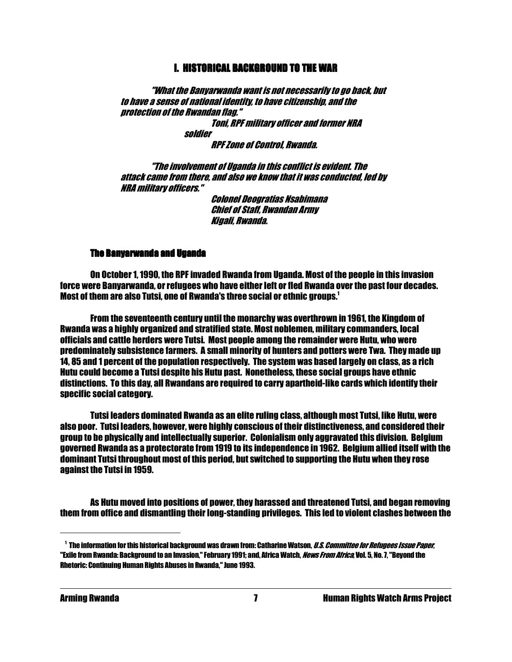#### **I. HISTORICAL BACKGROUND TO THE WAR**

 "What the Banyarwanda want is not necessarily to go back, but to have a sense of national identity, to have citizenship, and the protection of the Rwandan flag."

Toni, RPF military officer and former NRA

 soldier RPF Zone of Control, Rwanda.

 "The involvement of Uganda in this conflict is evident. The attack came from there, and also we know that it was conducted, led by NRA military officers."

> Colonel Deogratias Nsabimana Chief of Staff, Rwandan Army Kigali, Rwanda.

#### The Banyarwanda and Uganda The Banyarwanda and Uganda Uganda

 On October 1, 1990, the RPF invaded Rwanda from Uganda. Most of the people in this invasion force were Banyarwanda, or refugees who have either left or fled Rwanda over the past four decades. Most of them are also Tutsi, one of Rwanda's three social or ethnic groups.<sup>1</sup>

 From the seventeenth century until the monarchy was overthrown in 1961, the Kingdom of Rwanda was a highly organized and stratified state. Most noblemen, military commanders, local officials and cattle herders were Tutsi. Most people among the remainder were Hutu, who were predominately subsistence farmers. A small minority of hunters and potters were Twa. They made up 14, 85 and 1 percent of the population respectively. The system was based largely on class, as a rich Hutu could become a Tutsi despite his Hutu past. Nonetheless, these social groups have ethnic distinctions. To this day, all Rwandans are required to carry apartheid-like cards which identify their specific social category.

 Tutsi leaders dominated Rwanda as an elite ruling class, although most Tutsi, like Hutu, were also poor. Tutsi leaders, however, were highly conscious of their distinctiveness, and considered their group to be physically and intellectually superior. Colonialism only aggravated this division. Belgium governed Rwanda as a protectorate from 1919 to its independence in 1962. Belgium allied itself with the dominant Tutsi throughout most of this period, but switched to supporting the Hutu when they rose against the Tutsi in 1959.

 As Hutu moved into positions of power, they harassed and threatened Tutsi, and began removing them from office and dismantling their long-standing privileges. This led to violent clashes between the

<sup>&</sup>lt;sup>1</sup> The information for this historical background was drawn from: Catharine Watson, *U.S. Committee for Refugees Issue Paper*, "Exile from Rwanda: Background to an Invasion," February 1991; and, Africa Watch, *News From Africa*, Vol. 5, No. 7, "Beyond the Rhetoric: Continuing Human Rights Abuses in Rwanda," June 1993.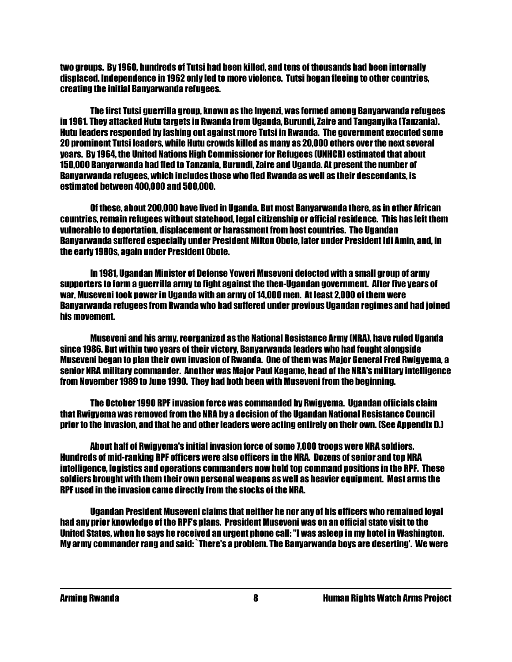two groups. By 1960, hundreds of Tutsi had been killed, and tens of thousands had been internally displaced. Independence in 1962 only led to more violence. Tutsi began fleeing to other countries, creating the initial Banyarwanda refugees.

 The first Tutsi guerrilla group, known as the Inyenzi, was formed among Banyarwanda refugees in 1961. They attacked Hutu targets in Rwanda from Uganda, Burundi, Zaire and Tanganyika (Tanzania). Hutu leaders responded by lashing out against more Tutsi in Rwanda. The government executed some 20 prominent Tutsi leaders, while Hutu crowds killed as many as 20,000 others over the next several years. By 1964, the United Nations High Commissioner for Refugees (UNHCR) estimated that about 150,000 Banyarwanda had fled to Tanzania, Burundi, Zaire and Uganda. At present the number of Banyarwanda refugees, which includes those who fled Rwanda as well as their descendants, is estimated between 400,000 and 500,000.

 Of these, about 200,000 have lived in Uganda. But most Banyarwanda there, as in other African countries, remain refugees without statehood, legal citizenship or official residence. This has left them vulnerable to deportation, displacement or harassment from host countries. The Ugandan Banyarwanda suffered especially under President Milton Obote, later under President Idi Amin, and, in the early 1980s, again under President Obote.

 In 1981, Ugandan Minister of Defense Yoweri Museveni defected with a small group of army supporters to form a guerrilla army to fight against the then-Ugandan government. After five years of war, Museveni took power in Uganda with an army of 14,000 men. At least 2,000 of them were Banyarwanda refugees from Rwanda who had suffered under previous Ugandan regimes and had joined his movement.

 Museveni and his army, reorganized as the National Resistance Army (NRA), have ruled Uganda since 1986. But within two years of their victory, Banyarwanda leaders who had fought alongside Museveni began to plan their own invasion of Rwanda. One of them was Major General Fred Rwigyema, a senior NRA military commander. Another was Major Paul Kagame, head of the NRA's military intelligence from November 1989 to June 1990. They had both been with Museveni from the beginning.

 The October 1990 RPF invasion force was commanded by Rwigyema. Ugandan officials claim that Rwigyema was removed from the NRA by a decision of the Ugandan National Resistance Council prior to the invasion, and that he and other leaders were acting entirely on their own. (See Appendix D.)

 About half of Rwigyema's initial invasion force of some 7,000 troops were NRA soldiers. Hundreds of mid-ranking RPF officers were also officers in the NRA. Dozens of senior and top NRA intelligence, logistics and operations commanders now hold top command positions in the RPF. These soldiers brought with them their own personal weapons as well as heavier equipment. Most arms the RPF used in the invasion came directly from the stocks of the NRA.

 Ugandan President Museveni claims that neither he nor any of his officers who remained loyal had any prior knowledge of the RPF's plans. President Museveni was on an official state visit to the United States, when he says he received an urgent phone call: "I was asleep in my hotel in Washington. My army commander rang and said: `There's a problem. The Banyarwanda boys are deserting'. We were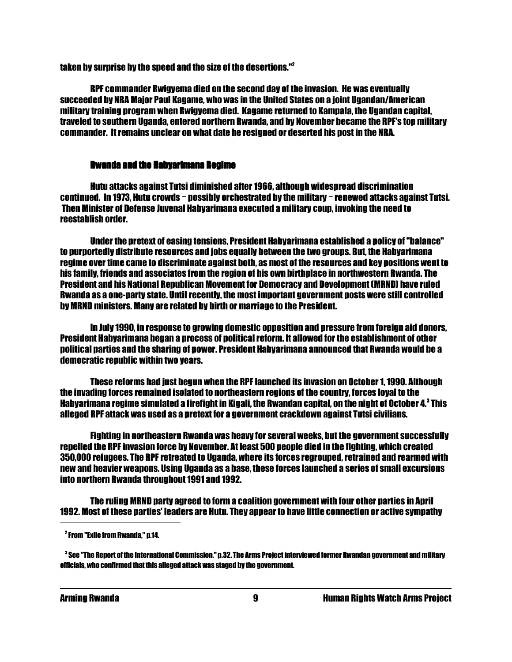taken by surprise by the speed and the size of the desertions."<sup>2</sup>

 RPF commander Rwigyema died on the second day of the invasion. He was eventually succeeded by NRA Major Paul Kagame, who was in the United States on a joint Ugandan/American military training program when Rwigyema died. Kagame returned to Kampala, the Ugandan capital, traveled to southern Uganda, entered northern Rwanda, and by November became the RPF's top military commander. It remains unclear on what date he resigned or deserted his post in the NRA.

#### **Rwanda and the Habyarimana Regime**

 Hutu attacks against Tutsi diminished after 1966, although widespread discrimination continued. In 1973, Hutu crowds - possibly orchestrated by the military - renewed attacks against Tutsi. Then Minister of Defense Juvenal Habyarimana executed a military coup, invoking the need to reestablish order.

 Under the pretext of easing tensions, President Habyarimana established a policy of "balance" to purportedly distribute resources and jobs equally between the two groups. But, the Habyarimana regime over time came to discriminate against both, as most of the resources and key positions went to his family, friends and associates from the region of his own birthplace in northwestern Rwanda. The President and his National Republican Movement for Democracy and Development (MRND) have ruled Rwanda as a one-party state. Until recently, the most important government posts were still controlled by MRND ministers. Many are related by birth or marriage to the President.

 In July 1990, in response to growing domestic opposition and pressure from foreign aid donors, President Habyarimana began a process of political reform. It allowed for the establishment of other political parties and the sharing of power. President Habyarimana announced that Rwanda would be a democratic republic within two years.

 These reforms had just begun when the RPF launched its invasion on October 1, 1990. Although the invading forces remained isolated to northeastern regions of the country, forces loyal to the Habyarimana regime simulated a firefight in Kigali, the Rwandan capital, on the night of October 4. $^{\rm 3}$  This alleged RPF attack was used as a pretext for a government crackdown against Tutsi civilians.

 Fighting in northeastern Rwanda was heavy for several weeks, but the government successfully repelled the RPF invasion force by November. At least 500 people died in the fighting, which created 350,000 refugees. The RPF retreated to Uganda, where its forces regrouped, retrained and rearmed with new and heavier weapons. Using Uganda as a base, these forces launched a series of small excursions into northern Rwanda throughout 1991 and 1992.

 The ruling MRND party agreed to form a coalition government with four other parties in April 1992. Most of these parties' leaders are Hutu. They appear to have little connection or active sympathy

<sup>2</sup> From "Exile from Rwanda," p.14.

<sup>3</sup> See "The Report of the International Commission," p.32. The Arms Project interviewed former Rwandan government and military officials, who confirmed that this alleged attack was staged by the government.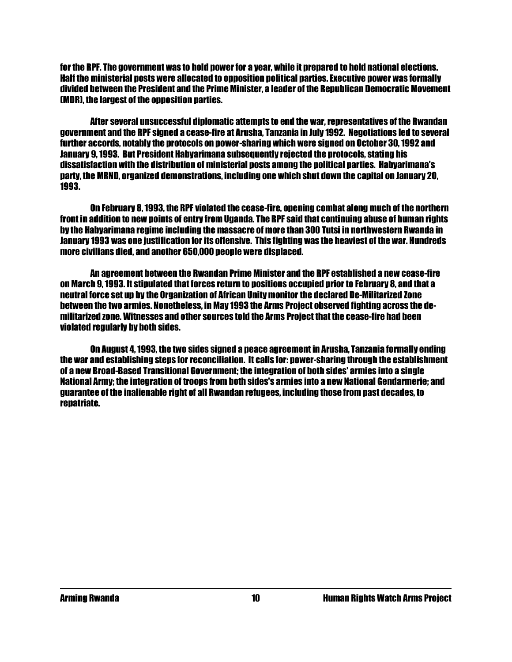for the RPF. The government was to hold power for a year, while it prepared to hold national elections. Half the ministerial posts were allocated to opposition political parties. Executive power was formally divided between the President and the Prime Minister, a leader of the Republican Democratic Movement (MDR), the largest of the opposition parties.

 After several unsuccessful diplomatic attempts to end the war, representatives of the Rwandan government and the RPF signed a cease-fire at Arusha, Tanzania in July 1992. Negotiations led to several further accords, notably the protocols on power-sharing which were signed on October 30, 1992 and January 9, 1993. But President Habyarimana subsequently rejected the protocols, stating his dissatisfaction with the distribution of ministerial posts among the political parties. Habyarimana's party, the MRND, organized demonstrations, including one which shut down the capital on January 20, 1993.

 On February 8, 1993, the RPF violated the cease-fire, opening combat along much of the northern front in addition to new points of entry from Uganda. The RPF said that continuing abuse of human rights by the Habyarimana regime including the massacre of more than 300 Tutsi in northwestern Rwanda in January 1993 was one justification for its offensive. This fighting was the heaviest of the war. Hundreds more civilians died, and another 650,000 people were displaced.

 An agreement between the Rwandan Prime Minister and the RPF established a new cease-fire on March 9, 1993. It stipulated that forces return to positions occupied prior to February 8, and that a neutral force set up by the Organization of African Unity monitor the declared De-Militarized Zone between the two armies. Nonetheless, in May 1993 the Arms Project observed fighting across the demilitarized zone. Witnesses and other sources told the Arms Project that the cease-fire had been violated regularly by both sides.

 On August 4, 1993, the two sides signed a peace agreement in Arusha, Tanzania formally ending the war and establishing steps for reconciliation. It calls for: power-sharing through the establishment of a new Broad-Based Transitional Government; the integration of both sides' armies into a single National Army; the integration of troops from both sides's armies into a new National Gendarmerie; and guarantee of the inalienable right of all Rwandan refugees, including those from past decades, to repatriate.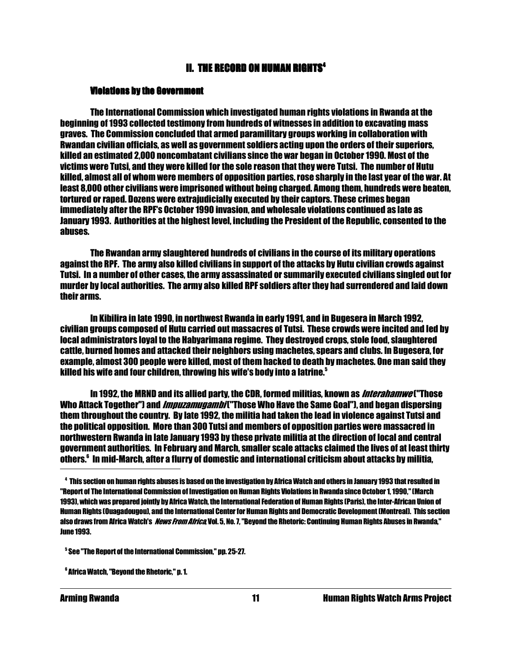#### **II. THE RECORD ON HUMAN RIGHTS<sup>4</sup>**  $\overline{a}$

#### Violations by the Government

 The International Commission which investigated human rights violations in Rwanda at the beginning of 1993 collected testimony from hundreds of witnesses in addition to excavating mass graves. The Commission concluded that armed paramilitary groups working in collaboration with Rwandan civilian officials, as well as government soldiers acting upon the orders of their superiors, killed an estimated 2,000 noncombatant civilians since the war began in October 1990. Most of the victims were Tutsi, and they were killed for the sole reason that they were Tutsi. The number of Hutu killed, almost all of whom were members of opposition parties, rose sharply in the last year of the war. At least 8,000 other civilians were imprisoned without being charged. Among them, hundreds were beaten, tortured or raped. Dozens were extrajudicially executed by their captors. These crimes began immediately after the RPF's October 1990 invasion, and wholesale violations continued as late as January 1993. Authorities at the highest level, including the President of the Republic, consented to the abuses.

 The Rwandan army slaughtered hundreds of civilians in the course of its military operations against the RPF. The army also killed civilians in support of the attacks by Hutu civilian crowds against Tutsi. In a number of other cases, the army assassinated or summarily executed civilians singled out for murder by local authorities. The army also killed RPF soldiers after they had surrendered and laid down their arms.

 In Kibilira in late 1990, in northwest Rwanda in early 1991, and in Bugesera in March 1992, civilian groups composed of Hutu carried out massacres of Tutsi. These crowds were incited and led by local administrators loyal to the Habyarimana regime. They destroyed crops, stole food, slaughtered cattle, burned homes and attacked their neighbors using machetes, spears and clubs. In Bugesera, for example, almost 300 people were killed, most of them hacked to death by machetes. One man said they killed his wife and four children, throwing his wife's body into a latrine.<sup>5</sup>

In 1992, the MRND and its allied party, the CDR, formed militias, known as *Interahamwe* ("Those Who Attack Together") and *Impuzamugambi* ("Those Who Have the Same Goal"), and began dispersing them throughout the country. By late 1992, the militia had taken the lead in violence against Tutsi and the political opposition. More than 300 Tutsi and members of opposition parties were massacred in northwestern Rwanda in late January 1993 by these private militia at the direction of local and central government authorities. In February and March, smaller scale attacks claimed the lives of at least thirty others.<sup>6</sup> In mid-March, after a flurry of domestic and international criticism about attacks by militia,

<sup>4</sup> This section on human rights abuses is based on the investigation by Africa Watch and others in January 1993 that resulted in "Report of The International Commission of Investigation on Human Rights Violations in Rwanda since October 1, 1990," (March 1993), which was prepared jointly by Africa Watch, the International Federation of Human Rights (Paris), the Inter-African Union of Human Rights (Ouagadougou), and the International Center for Human Rights and Democratic Development (Montreal). This section also draws from Africa Watch's *News From Africa*, Vol. 5, No. 7, "Beyond the Rhetoric: Continuing Human Rights Abuses in Rwanda," June 1993.

<sup>5</sup> See "The Report of the International Commission," pp. 25-27.

<sup>6</sup> Africa Watch, "Beyond the Rhetoric," p. 1.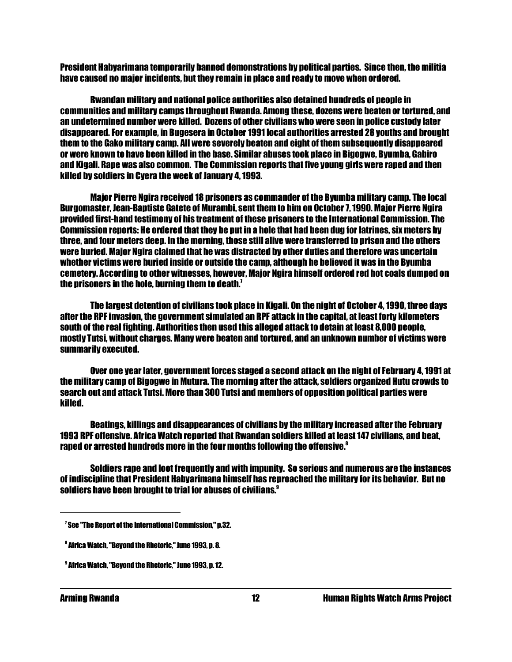President Habyarimana temporarily banned demonstrations by political parties. Since then, the militia have caused no major incidents, but they remain in place and ready to move when ordered.

 Rwandan military and national police authorities also detained hundreds of people in communities and military camps throughout Rwanda. Among these, dozens were beaten or tortured, and an undetermined number were killed. Dozens of other civilians who were seen in police custody later disappeared. For example, in Bugesera in October 1991 local authorities arrested 28 youths and brought them to the Gako military camp. All were severely beaten and eight of them subsequently disappeared or were known to have been killed in the base. Similar abuses took place in Bigogwe, Byumba, Gabiro and Kigali. Rape was also common. The Commission reports that five young girls were raped and then killed by soldiers in Cyera the week of January 4, 1993.

 Major Pierre Ngira received 18 prisoners as commander of the Byumba military camp. The local Burgomaster, Jean-Baptiste Gatete of Murambi, sent them to him on October 7, 1990. Major Pierre Ngira provided first-hand testimony of his treatment of these prisoners to the International Commission. The Commission reports: He ordered that they be put in a hole that had been dug for latrines, six meters by three, and four meters deep. In the morning, those still alive were transferred to prison and the others were buried. Major Ngira claimed that he was distracted by other duties and therefore was uncertain whether victims were buried inside or outside the camp, although he believed it was in the Byumba cemetery. According to other witnesses, however, Major Ngira himself ordered red hot coals dumped on the prisoners in the hole, burning them to death. $7$ 

 The largest detention of civilians took place in Kigali. On the night of October 4, 1990, three days after the RPF invasion, the government simulated an RPF attack in the capital, at least forty kilometers south of the real fighting. Authorities then used this alleged attack to detain at least 8,000 people, mostly Tutsi, without charges. Many were beaten and tortured, and an unknown number of victims were summarily executed.

 Over one year later, government forces staged a second attack on the night of February 4, 1991 at the military camp of Bigogwe in Mutura. The morning after the attack, soldiers organized Hutu crowds to search out and attack Tutsi. More than 300 Tutsi and members of opposition political parties were killed.

 Beatings, killings and disappearances of civilians by the military increased after the February 1993 RPF offensive. Africa Watch reported that Rwandan soldiers killed at least 147 civilians, and beat, raped or arrested hundreds more in the four months following the offensive.<sup>8</sup>

 Soldiers rape and loot frequently and with impunity. So serious and numerous are the instances of indiscipline that President Habyarimana himself has reproached the military for its behavior. But no soldiers have been brought to trial for abuses of civilians.<sup>9</sup>

 $^{\prime}$  See "The Report of the International Commission," p.32.

<sup>8</sup> Africa Watch, "Beyond the Rhetoric," June 1993, p. 8.

<sup>9</sup> Africa Watch, "Beyond the Rhetoric," June 1993, p. 12.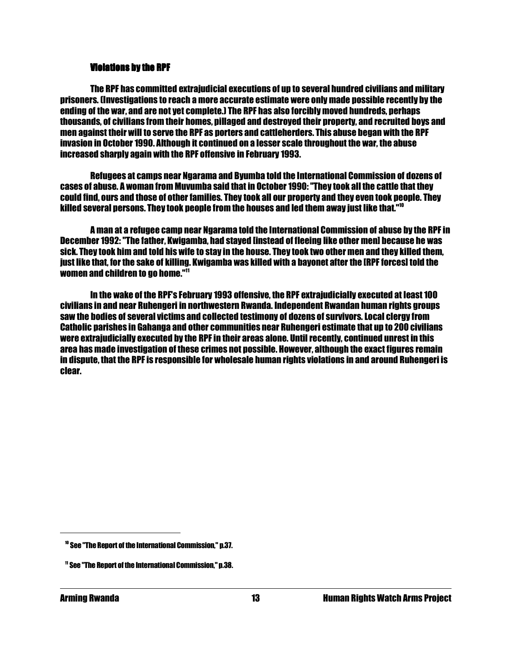#### **Violations by the RPF**

 The RPF has committed extrajudicial executions of up to several hundred civilians and military prisoners. (Investigations to reach a more accurate estimate were only made possible recently by the ending of the war, and are not yet complete.) The RPF has also forcibly moved hundreds, perhaps thousands, of civilians from their homes, pillaged and destroyed their property, and recruited boys and men against their will to serve the RPF as porters and cattleherders. This abuse began with the RPF invasion in October 1990. Although it continued on a lesser scale throughout the war, the abuse increased sharply again with the RPF offensive in February 1993.

 Refugees at camps near Ngarama and Byumba told the International Commission of dozens of cases of abuse. A woman from Muvumba said that in October 1990: "They took all the cattle that they could find, ours and those of other families. They took all our property and they even took people. They killed several persons. They took people from the houses and led them away just like that." $^{\prime\prime}$ 

 A man at a refugee camp near Ngarama told the International Commission of abuse by the RPF in December 1992: "The father, Kwigamba, had stayed [instead of fleeing like other men] because he was sick. They took him and told his wife to stay in the house. They took two other men and they killed them, just like that, for the sake of killing. Kwigamba was killed with a bayonet after the [RPF forces] told the women and children to go home."<sup>11</sup>

 In the wake of the RPF's February 1993 offensive, the RPF extrajudicially executed at least 100 civilians in and near Ruhengeri in northwestern Rwanda. Independent Rwandan human rights groups saw the bodies of several victims and collected testimony of dozens of survivors. Local clergy from Catholic parishes in Gahanga and other communities near Ruhengeri estimate that up to 200 civilians were extrajudicially executed by the RPF in their areas alone. Until recently, continued unrest in this area has made investigation of these crimes not possible. However, although the exact figures remain in dispute, that the RPF is responsible for wholesale human rights violations in and around Ruhengeri is clear.

<sup>10</sup> See "The Report of the International Commission," p.37.

<sup>11</sup> See "The Report of the International Commission," p.38.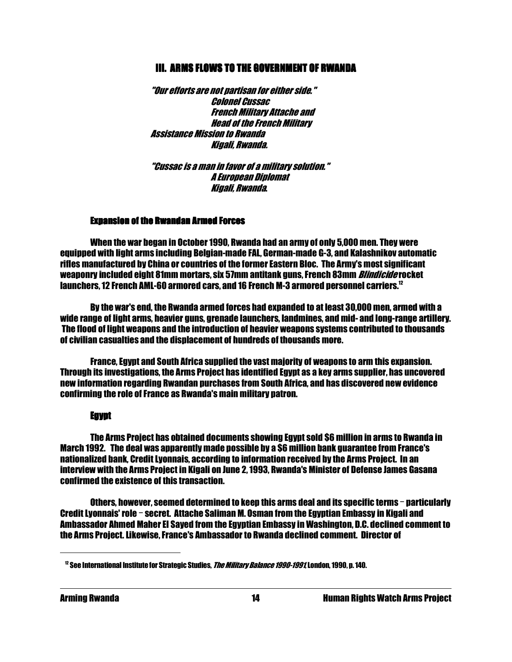#### III. ARMS FLOWS TO THE GOVERNMENT OF RWANDA

 "Our efforts are not partisan for either side." Colonel Cussac French Military Attache and Head of the French Military Assistance Mission to Rwanda Kigali, Rwanda.

 "Cussac is a man in favor of a military solution." A European Diplomat Kigali, Rwanda.

#### **Expansion of the Rwandan Armed Forces**

 When the war began in October 1990, Rwanda had an army of only 5,000 men. They were equipped with light arms including Belgian-made FAL, German-made G-3, and Kalashnikov automatic rifles manufactured by China or countries of the former Eastern Bloc. The Army's most significant weaponry included eight 81mm mortars. six 57mm antitank guns. French 83mm *Blindicide* rocket launchers, 12 French AML-60 armored cars, and 16 French M-3 armored personnel carriers.<sup>12</sup>

 By the war's end, the Rwanda armed forces had expanded to at least 30,000 men, armed with a wide range of light arms, heavier guns, grenade launchers, landmines, and mid- and long-range artillery. The flood of light weapons and the introduction of heavier weapons systems contributed to thousands of civilian casualties and the displacement of hundreds of thousands more.

 France, Egypt and South Africa supplied the vast majority of weapons to arm this expansion. Through its investigations, the Arms Project has identified Egypt as a key arms supplier, has uncovered new information regarding Rwandan purchases from South Africa, and has discovered new evidence confirming the role of France as Rwanda's main military patron.

#### Egypt

 The Arms Project has obtained documents showing Egypt sold \$6 million in arms to Rwanda in March 1992. The deal was apparently made possible by a \$6 million bank guarantee from France's nationalized bank, Credit Lyonnais, according to information received by the Arms Project. In an interview with the Arms Project in Kigali on June 2, 1993, Rwanda's Minister of Defense James Gasana confirmed the existence of this transaction.

Others, however, seemed determined to keep this arms deal and its specific terms - particularly Credit Lyonnais' role - secret. Attache Saliman M. Osman from the Egyptian Embassy in Kigali and Ambassador Ahmed Maher El Sayed from the Egyptian Embassy in Washington, D.C. declined comment to the Arms Project. Likewise, France's Ambassador to Rwanda declined comment. Director of

 $12$  See International Institute for Strategic Studies, *The Military Balance 1990-1991*, London, 1990, p. 140.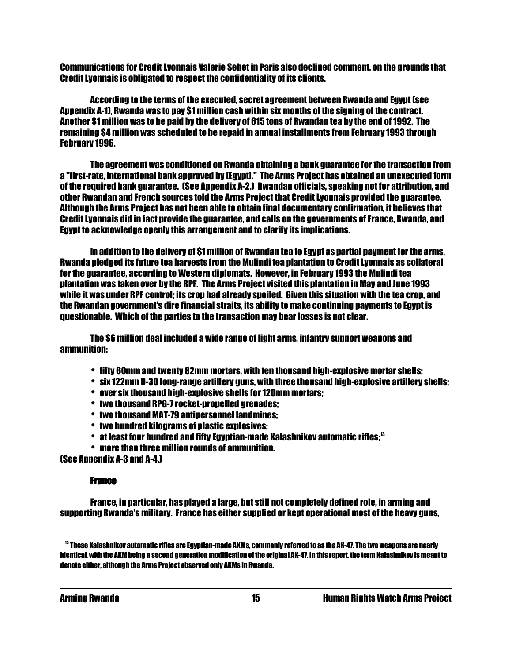Communications for Credit Lyonnais Valerie Sehet in Paris also declined comment, on the grounds that Credit Lyonnais is obligated to respect the confidentiality of its clients.

 According to the terms of the executed, secret agreement between Rwanda and Egypt (see Appendix A-1), Rwanda was to pay \$1 million cash within six months of the signing of the contract. Another \$1 million was to be paid by the delivery of 615 tons of Rwandan tea by the end of 1992. The remaining \$4 million was scheduled to be repaid in annual installments from February 1993 through February 1996.

 The agreement was conditioned on Rwanda obtaining a bank guarantee for the transaction from a "first-rate, international bank approved by [Egypt]." The Arms Project has obtained an unexecuted form of the required bank guarantee. (See Appendix A-2.) Rwandan officials, speaking not for attribution, and other Rwandan and French sources told the Arms Project that Credit Lyonnais provided the guarantee. Although the Arms Project has not been able to obtain final documentary confirmation, it believes that Credit Lyonnais did in fact provide the guarantee, and calls on the governments of France, Rwanda, and Egypt to acknowledge openly this arrangement and to clarify its implications.

 In addition to the delivery of \$1 million of Rwandan tea to Egypt as partial payment for the arms, Rwanda pledged its future tea harvests from the Mulindi tea plantation to Credit Lyonnais as collateral for the guarantee, according to Western diplomats. However, in February 1993 the Mulindi tea plantation was taken over by the RPF. The Arms Project visited this plantation in May and June 1993 while it was under RPF control; its crop had already spoiled. Given this situation with the tea crop, and the Rwandan government's dire financial straits, its ability to make continuing payments to Egypt is questionable. Which of the parties to the transaction may bear losses is not clear.

 The \$6 million deal included a wide range of light arms, infantry support weapons and ammunition:

- $\bullet$  fifty 60mm and twenty 82mm mortars, with ten thousand high-explosive mortar shells;
- \* six 122mm D-30 long-range artillery guns, with three thousand high-explosive artillery shells;
- over six thousand high-explosive shells for 120mm mortars:
- two thousand RPG-7 rocket-propelled grenades:
- two thousand MAT-79 antipersonnel landmines:
- two hundred kilograms of plastic explosives:
- $\bullet~$  at least four hundred and fifty Egyptian-made Kalashnikov automatic rifles; $^{\text{13}}$
- $\cdot$  more than three million rounds of ammunition.

(See Appendix A-3 and A-4.)

#### **France**

 France, in particular, has played a large, but still not completely defined role, in arming and supporting Rwanda's military. France has either supplied or kept operational most of the heavy guns,

<sup>13</sup> These Kalashnikov automatic rifles are Egyptian-made AKMs, commonly referred to as the AK-47. The two weapons are nearly identical, with the AKM being a second generation modification of the original AK-47. In this report, the term Kalashnikov is meant to denote either, although the Arms Project observed only AKMs in Rwanda.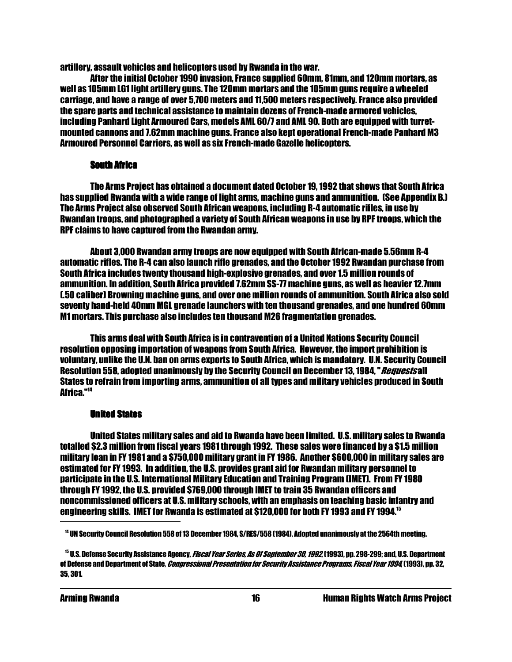artillery, assault vehicles and helicopters used by Rwanda in the war.

 After the initial October 1990 invasion, France supplied 60mm, 81mm, and 120mm mortars, as well as 105mm LG1 light artillery guns. The 120mm mortars and the 105mm guns require a wheeled carriage, and have a range of over 5,700 meters and 11,500 meters respectively. France also provided the spare parts and technical assistance to maintain dozens of French-made armored vehicles, including Panhard Light Armoured Cars, models AML 60/7 and AML 90. Both are equipped with turretmounted cannons and 7.62mm machine guns. France also kept operational French-made Panhard M3 Armoured Personnel Carriers, as well as six French-made Gazelle helicopters.

#### **South Africa**

 The Arms Project has obtained a document dated October 19, 1992 that shows that South Africa has supplied Rwanda with a wide range of light arms, machine guns and ammunition. (See Appendix B.) The Arms Project also observed South African weapons, including R-4 automatic rifles, in use by Rwandan troops, and photographed a variety of South African weapons in use by RPF troops, which the RPF claims to have captured from the Rwandan army.

 About 3,000 Rwandan army troops are now equipped with South African-made 5.56mm R-4 automatic rifles. The R-4 can also launch rifle grenades, and the October 1992 Rwandan purchase from South Africa includes twenty thousand high-explosive grenades, and over 1.5 million rounds of ammunition. In addition, South Africa provided 7.62mm SS-77 machine guns, as well as heavier 12.7mm (.50 caliber) Browning machine guns, and over one million rounds of ammunition. South Africa also sold seventy hand-held 40mm MGL grenade launchers with ten thousand grenades, and one hundred 60mm M1 mortars. This purchase also includes ten thousand M26 fragmentation grenades.

 This arms deal with South Africa is in contravention of a United Nations Security Council resolution opposing importation of weapons from South Africa. However, the import prohibition is voluntary, unlike the U.N. ban on arms exports to South Africa, which is mandatory. U.N. Security Council Resolution 558, adopted unanimously by the Security Council on December 13, 1984." Requests all States to refrain from importing arms, ammunition of all types and military vehicles produced in South Africa."<sup>14</sup>

#### **United States**

 United States military sales and aid to Rwanda have been limited. U.S. military sales to Rwanda totalled \$2.3 million from fiscal years 1981 through 1992. These sales were financed by a \$1.5 million military loan in FY 1981 and a \$750,000 military grant in FY 1986. Another \$600,000 in military sales are estimated for FY 1993. In addition, the U.S. provides grant aid for Rwandan military personnel to participate in the U.S. International Military Education and Training Program (IMET). From FY 1980 through FY 1992, the U.S. provided \$769,000 through IMET to train 35 Rwandan officers and noncommissioned officers at U.S. military schools, with an emphasis on teaching basic infantry and engineering skills. IMET for Rwanda is estimated at \$120,000 for both FY 1993 and FY 1994.<sup>15</sup>

<sup>14</sup> UN Security Council Resolution 558 of 13 December 1984, S/RES/558 (1984), Adopted unanimously at the 2564th meeting.

<sup>&</sup>lt;sup>15</sup> U.S. Defense Security Assistance Agency, *Fiscal Year Series, As Of September 30, 1992* (1993), pp. 298-299; and, U.S. Department of Defense and Department of State, *Congressional Presentation for Security Assistance Programs, Fiscal Year 1994*, (1993), pp. 32, 35, 301.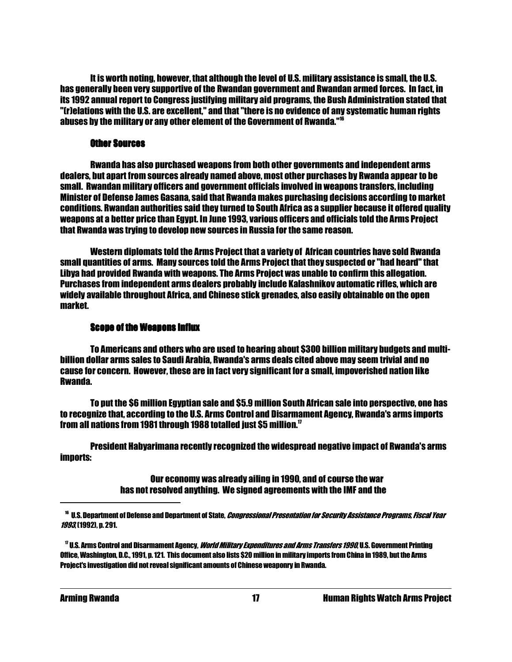It is worth noting, however, that although the level of U.S. military assistance is small, the U.S. has generally been very supportive of the Rwandan government and Rwandan armed forces. In fact, in its 1992 annual report to Congress justifying military aid programs, the Bush Administration stated that "(r)elations with the U.S. are excellent," and that "there is no evidence of any systematic human rights abuses by the military or any other element of the Government of Rwanda."<sup>16</sup>

#### **Other Sources**

 Rwanda has also purchased weapons from both other governments and independent arms dealers, but apart from sources already named above, most other purchases by Rwanda appear to be small. Rwandan military officers and government officials involved in weapons transfers, including Minister of Defense James Gasana, said that Rwanda makes purchasing decisions according to market conditions. Rwandan authorities said they turned to South Africa as a supplier because it offered quality weapons at a better price than Egypt. In June 1993, various officers and officials told the Arms Project that Rwanda was trying to develop new sources in Russia for the same reason.

 Western diplomats told the Arms Project that a variety of African countries have sold Rwanda small quantities of arms. Many sources told the Arms Project that they suspected or "had heard" that Libya had provided Rwanda with weapons. The Arms Project was unable to confirm this allegation. Purchases from independent arms dealers probably include Kalashnikov automatic rifles, which are widely available throughout Africa, and Chinese stick grenades, also easily obtainable on the open market.

#### **Scope of the Weapons Influx**

 To Americans and others who are used to hearing about \$300 billion military budgets and multibillion dollar arms sales to Saudi Arabia, Rwanda's arms deals cited above may seem trivial and no cause for concern. However, these are in fact very significant for a small, impoverished nation like Rwanda.

 To put the \$6 million Egyptian sale and \$5.9 million South African sale into perspective, one has to recognize that, according to the U.S. Arms Control and Disarmament Agency, Rwanda's arms imports from all nations from 1981 through 1988 totalled just \$5 million. $^{17}$ 

 President Habyarimana recently recognized the widespread negative impact of Rwanda's arms imports:

> Our economy was already ailing in 1990, and of course the war has not resolved anything. We signed agreements with the IMF and the

<sup>&</sup>lt;sup>16</sup> U.S. Department of Defense and Department of State, *Congressional Presentation for Security Assistance Programs, Fiscal Year* 1993, (1992), p. 291.

<sup>&</sup>lt;sup>17</sup> U.S. Arms Control and Disarmament Agency, *World Military Expenditures and Arms Transfers 1990*, U.S. Government Printing Office, Washington, D.C., 1991, p. 121. This document also lists \$20 million in military imports from China in 1989, but the Arms Project's investigation did not reveal significant amounts of Chinese weaponry in Rwanda.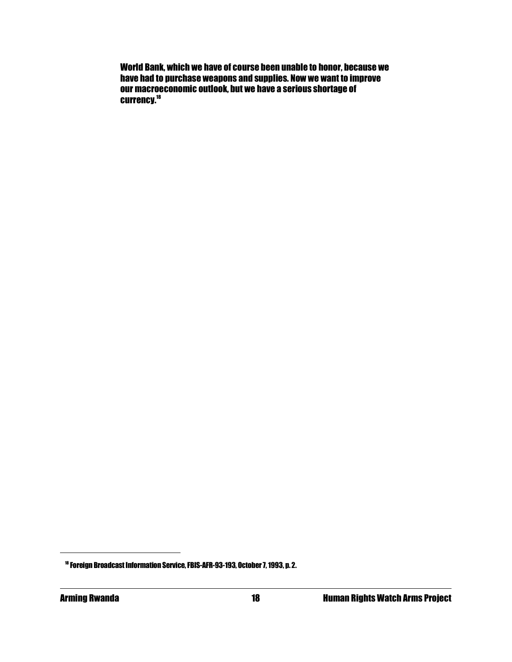World Bank, which we have of course been unable to honor, because we have had to purchase weapons and supplies. Now we want to improve our macroeconomic outlook, but we have a serious shortage of currency.<sup>18</sup>

<sup>18</sup> Foreign Broadcast Information Service, FBIS-AFR-93-193, October 7, 1993, p. 2.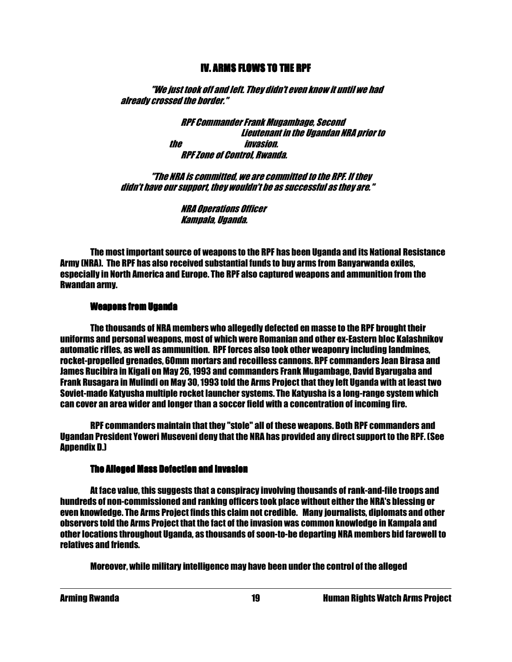#### IV. ARMS FLOWS TO THE RPF

 "We just took off and left. They didn't even know it until we had already crossed the border."

> RPF Commander Frank Mugambage, Second Lieutenant in the Ugandan NRA prior to the invasion. RPF Zone of Control, Rwanda.

 "The NRA is committed, we are committed to the RPF. If they didn't have our support, they wouldn't be as successful as they are."

> NRA Operations Officer Kampala, Uganda.

 The most important source of weapons to the RPF has been Uganda and its National Resistance Army (NRA). The RPF has also received substantial funds to buy arms from Banyarwanda exiles, especially in North America and Europe. The RPF also captured weapons and ammunition from the Rwandan army.

#### Weapons from Uganda

 The thousands of NRA members who allegedly defected en masse to the RPF brought their uniforms and personal weapons, most of which were Romanian and other ex-Eastern bloc Kalashnikov automatic rifles, as well as ammunition. RPF forces also took other weaponry including landmines, rocket-propelled grenades, 60mm mortars and recoilless cannons. RPF commanders Jean Birasa and James Rucibira in Kigali on May 26, 1993 and commanders Frank Mugambage, David Byarugaba and Frank Rusagara in Mulindi on May 30, 1993 told the Arms Project that they left Uganda with at least two Soviet-made Katyusha multiple rocket launcher systems. The Katyusha is a long-range system which can cover an area wider and longer than a soccer field with a concentration of incoming fire.

 RPF commanders maintain that they "stole" all of these weapons. Both RPF commanders and Ugandan President Yoweri Museveni deny that the NRA has provided any direct support to the RPF. (See **Annendix D.1** 

#### **The Alleged Mass Defection and Invasion**

 At face value, this suggests that a conspiracy involving thousands of rank-and-file troops and hundreds of non-commissioned and ranking officers took place without either the NRA's blessing or even knowledge. The Arms Project finds this claim not credible. Many journalists, diplomats and other observers told the Arms Project that the fact of the invasion was common knowledge in Kampala and other locations throughout Uganda, as thousands of soon-to-be departing NRA members bid farewell to relatives and friends.

Moreover, while military intelligence may have been under the control of the alleged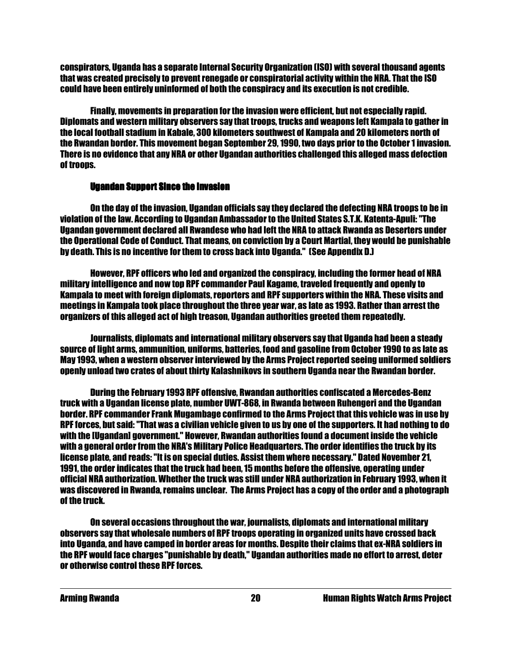conspirators, Uganda has a separate Internal Security Organization (ISO) with several thousand agents that was created precisely to prevent renegade or conspiratorial activity within the NRA. That the ISO could have been entirely uninformed of both the conspiracy and its execution is not credible.

 Finally, movements in preparation for the invasion were efficient, but not especially rapid. Diplomats and western military observers say that troops, trucks and weapons left Kampala to gather in the local football stadium in Kabale, 300 kilometers southwest of Kampala and 20 kilometers north of the Rwandan border. This movement began September 29, 1990, two days prior to the October 1 invasion. There is no evidence that any NRA or other Ugandan authorities challenged this alleged mass defection of troops.

#### Ugandan Support Since the Invasion

 On the day of the invasion, Ugandan officials say they declared the defecting NRA troops to be in violation of the law. According to Ugandan Ambassador to the United States S.T.K. Katenta-Apuli: "The Ugandan government declared all Rwandese who had left the NRA to attack Rwanda as Deserters under the Operational Code of Conduct. That means, on conviction by a Court Martial, they would be punishable by death. This is no incentive for them to cross back into Uganda." (See Appendix D.)

 However, RPF officers who led and organized the conspiracy, including the former head of NRA military intelligence and now top RPF commander Paul Kagame, traveled frequently and openly to Kampala to meet with foreign diplomats, reporters and RPF supporters within the NRA. These visits and meetings in Kampala took place throughout the three year war, as late as 1993. Rather than arrest the organizers of this alleged act of high treason, Ugandan authorities greeted them repeatedly.

 Journalists, diplomats and international military observers say that Uganda had been a steady source of light arms, ammunition, uniforms, batteries, food and gasoline from October 1990 to as late as May 1993, when a western observer interviewed by the Arms Project reported seeing uniformed soldiers openly unload two crates of about thirty Kalashnikovs in southern Uganda near the Rwandan border.

 During the February 1993 RPF offensive, Rwandan authorities confiscated a Mercedes-Benz truck with a Ugandan license plate, number UWT-868, in Rwanda between Ruhengeri and the Ugandan border. RPF commander Frank Mugambage confirmed to the Arms Project that this vehicle was in use by RPF forces, but said: "That was a civilian vehicle given to us by one of the supporters. It had nothing to do with the [Ugandan] government." However, Rwandan authorities found a document inside the vehicle with a general order from the NRA's Military Police Headquarters. The order identifies the truck by its license plate, and reads: "It is on special duties. Assist them where necessary." Dated November 21, 1991, the order indicates that the truck had been, 15 months before the offensive, operating under official NRA authorization. Whether the truck was still under NRA authorization in February 1993, when it was discovered in Rwanda, remains unclear. The Arms Project has a copy of the order and a photograph of the truck.

 On several occasions throughout the war, journalists, diplomats and international military observers say that wholesale numbers of RPF troops operating in organized units have crossed back into Uganda, and have camped in border areas for months. Despite their claims that ex-NRA soldiers in the RPF would face charges "punishable by death," Ugandan authorities made no effort to arrest, deter or otherwise control these RPF forces.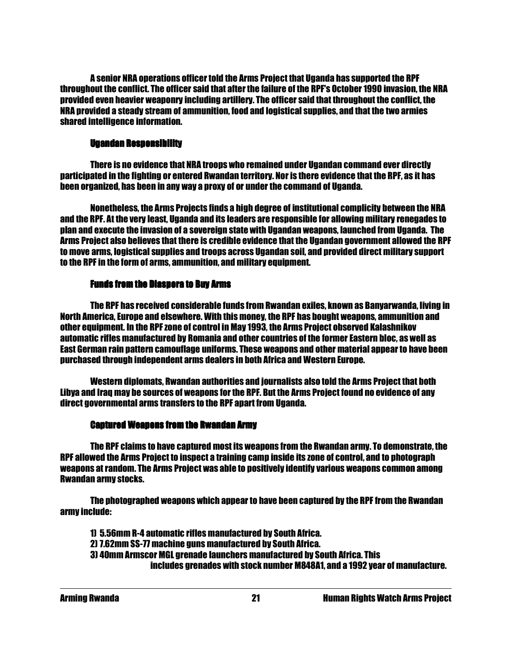A senior NRA operations officer told the Arms Project that Uganda has supported the RPF throughout the conflict. The officer said that after the failure of the RPF's October 1990 invasion, the NRA provided even heavier weaponry including artillery. The officer said that throughout the conflict, the NRA provided a steady stream of ammunition, food and logistical supplies, and that the two armies shared intelligence information.

#### Ugandan Responsibility

 There is no evidence that NRA troops who remained under Ugandan command ever directly participated in the fighting or entered Rwandan territory. Nor is there evidence that the RPF, as it has been organized, has been in any way a proxy of or under the command of Uganda.

 Nonetheless, the Arms Projects finds a high degree of institutional complicity between the NRA and the RPF. At the very least, Uganda and its leaders are responsible for allowing military renegades to plan and execute the invasion of a sovereign state with Ugandan weapons, launched from Uganda. The Arms Project also believes that there is credible evidence that the Ugandan government allowed the RPF to move arms, logistical supplies and troops across Ugandan soil, and provided direct military support to the RPF in the form of arms, ammunition, and military equipment.

#### Funds from the Diaspora to Buy Arms

 The RPF has received considerable funds from Rwandan exiles, known as Banyarwanda, living in North America, Europe and elsewhere. With this money, the RPF has bought weapons, ammunition and other equipment. In the RPF zone of control in May 1993, the Arms Project observed Kalashnikov automatic rifles manufactured by Romania and other countries of the former Eastern bloc, as well as East German rain pattern camouflage uniforms. These weapons and other material appear to have been purchased through independent arms dealers in both Africa and Western Europe.

 Western diplomats, Rwandan authorities and journalists also told the Arms Project that both Libya and Iraq may be sources of weapons for the RPF. But the Arms Project found no evidence of any direct governmental arms transfers to the RPF apart from Uganda.

#### **Captured Weapons from the Rwandan Army**

 The RPF claims to have captured most its weapons from the Rwandan army. To demonstrate, the RPF allowed the Arms Project to inspect a training camp inside its zone of control, and to photograph weapons at random. The Arms Project was able to positively identify various weapons common among Rwandan army stocks.

 The photographed weapons which appear to have been captured by the RPF from the Rwandan army include:

 1) 5.56mm R-4 automatic rifles manufactured by South Africa. 2) 7.62mm SS-77 machine guns manufactured by South Africa. 3) 40mm Armscor MGL grenade launchers manufactured by South Africa. This includes grenades with stock number M848A1, and a 1992 year of manufacture.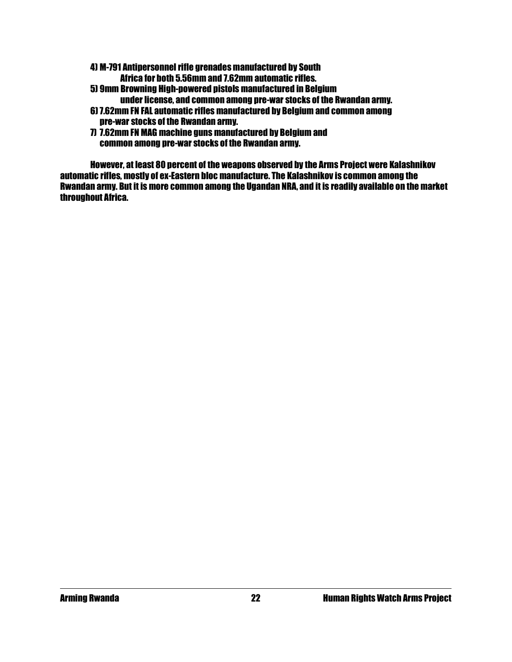4) M-791 Antipersonnel rifle grenades manufactured by South

Africa for both 5.56mm and 7.62mm automatic rifles.

- 5) 9mm Browning High-powered pistols manufactured in Belgium
	- under license, and common among pre-war stocks of the Rwandan army.
- 6) 7.62mm FN FAL automatic rifles manufactured by Belgium and common among pre-war stocks of the Rwandan army.
- 7) 7.62mm FN MAG machine guns manufactured by Belgium and common among pre-war stocks of the Rwandan army.

 However, at least 80 percent of the weapons observed by the Arms Project were Kalashnikov automatic rifles, mostly of ex-Eastern bloc manufacture. The Kalashnikov is common among the Rwandan army. But it is more common among the Ugandan NRA, and it is readily available on the market throughout Africa.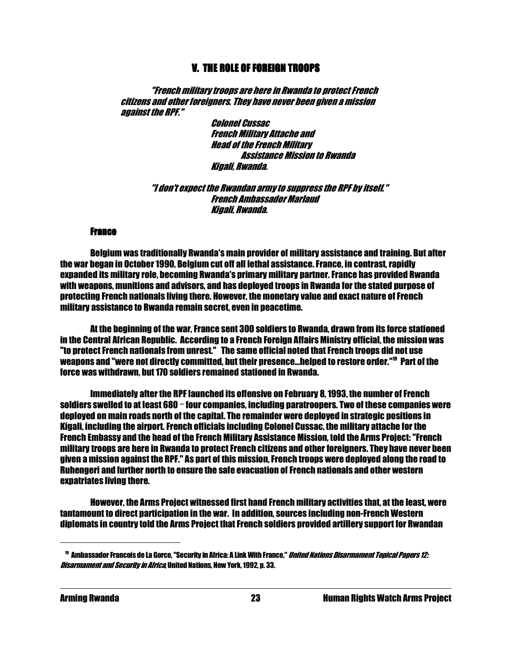### V. THE ROLE OF FOREIGN TROOPS

 "French military troops are here in Rwanda to protect French citizens and other foreigners. They have never been given a mission against the RPF."

> Colonel Cussac French Military Attache and Head of the French Military Assistance Mission to Rwanda Kigali, Rwanda.

 "I don't expect the Rwandan army to suppress the RPF by itself." French Ambassador Marlaud Kigali, Rwanda.

#### **France**

 Belgium was traditionally Rwanda's main provider of military assistance and training. But after the war began in October 1990, Belgium cut off all lethal assistance. France, in contrast, rapidly expanded its military role, becoming Rwanda's primary military partner. France has provided Rwanda with weapons, munitions and advisors, and has deployed troops in Rwanda for the stated purpose of protecting French nationals living there. However, the monetary value and exact nature of French military assistance to Rwanda remain secret, even in peacetime.

 At the beginning of the war, France sent 300 soldiers to Rwanda, drawn from its force stationed in the Central African Republic. According to a French Foreign Affairs Ministry official, the mission was "to protect French nationals from unrest." The same official noted that French troops did not use weapons and "were not directly committed, but their presence...helped to restore order."<sup>19</sup> Part of the force was withdrawn, but 170 soldiers remained stationed in Rwanda.

 Immediately after the RPF launched its offensive on February 8, 1993, the number of French soldiers swelled to at least 680 - four companies, including paratroopers. Two of these companies were deployed on main roads north of the capital. The remainder were deployed in strategic positions in Kigali, including the airport. French officials including Colonel Cussac, the military attache for the French Embassy and the head of the French Military Assistance Mission, told the Arms Project: "French military troops are here in Rwanda to protect French citizens and other foreigners. They have never been given a mission against the RPF." As part of this mission, French troops were deployed along the road to Ruhengeri and further north to ensure the safe evacuation of French nationals and other western expatriates living there.

 However, the Arms Project witnessed first hand French military activities that, at the least, were tantamount to direct participation in the war. In addition, sources including non-French Western diplomats in country told the Arms Project that French soldiers provided artillery support for Rwandan

<sup>&</sup>lt;sup>19</sup> Ambassador Francois de La Gorce, "Security in Africa: A Link With France," *United Nations Disarmament Topical Papers 12:* Disarmament and Security in Africa, United Nations, New York, 1992, p. 33.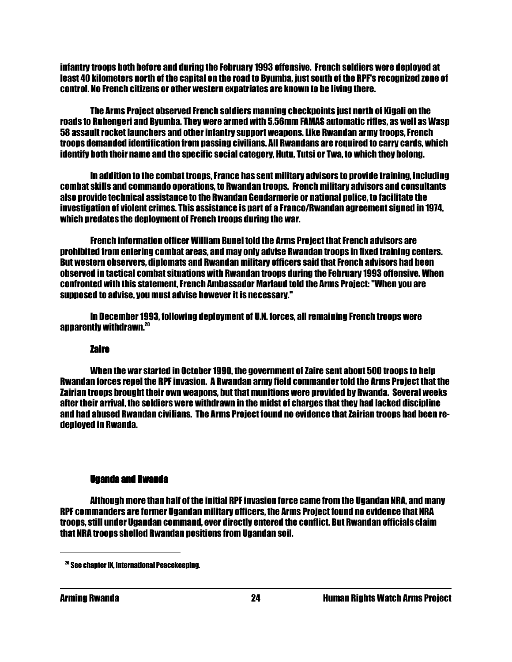infantry troops both before and during the February 1993 offensive. French soldiers were deployed at least 40 kilometers north of the capital on the road to Byumba, just south of the RPF's recognized zone of control. No French citizens or other western expatriates are known to be living there.

 The Arms Project observed French soldiers manning checkpoints just north of Kigali on the roads to Ruhengeri and Byumba. They were armed with 5.56mm FAMAS automatic rifles, as well as Wasp 58 assault rocket launchers and other infantry support weapons. Like Rwandan army troops, French troops demanded identification from passing civilians. All Rwandans are required to carry cards, which identify both their name and the specific social category, Hutu, Tutsi or Twa, to which they belong.

 In addition to the combat troops, France has sent military advisors to provide training, including combat skills and commando operations, to Rwandan troops. French military advisors and consultants also provide technical assistance to the Rwandan Gendarmerie or national police, to facilitate the investigation of violent crimes. This assistance is part of a Franco/Rwandan agreement signed in 1974, which predates the deployment of French troops during the war.

 French information officer William Bunel told the Arms Project that French advisors are prohibited from entering combat areas, and may only advise Rwandan troops in fixed training centers. But western observers, diplomats and Rwandan military officers said that French advisors had been observed in tactical combat situations with Rwandan troops during the February 1993 offensive. When confronted with this statement, French Ambassador Marlaud told the Arms Project: "When you are supposed to advise, you must advise however it is necessary."

 In December 1993, following deployment of U.N. forces, all remaining French troops were apparently withdrawn.<sup>20</sup>

#### Zaire

 When the war started in October 1990, the government of Zaire sent about 500 troops to help Rwandan forces repel the RPF invasion. A Rwandan army field commander told the Arms Project that the Zairian troops brought their own weapons, but that munitions were provided by Rwanda. Several weeks after their arrival, the soldiers were withdrawn in the midst of charges that they had lacked discipline and had abused Rwandan civilians. The Arms Project found no evidence that Zairian troops had been redeployed in Rwanda.

#### **Uganda and Rwanda**

 Although more than half of the initial RPF invasion force came from the Ugandan NRA, and many RPF commanders are former Ugandan military officers, the Arms Project found no evidence that NRA troops, still under Ugandan command, ever directly entered the conflict. But Rwandan officials claim that NRA troops shelled Rwandan positions from Ugandan soil.

<sup>20</sup> See chapter IX, International Peacekeeping.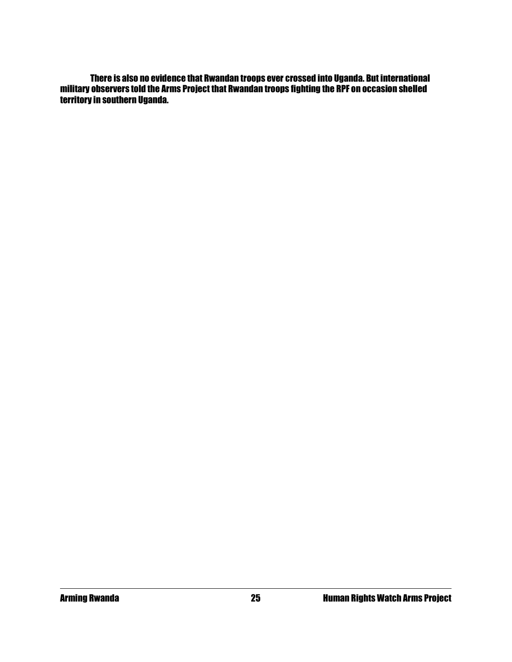There is also no evidence that Rwandan troops ever crossed into Uganda. But international military observers told the Arms Project that Rwandan troops fighting the RPF on occasion shelled territory in southern Uganda.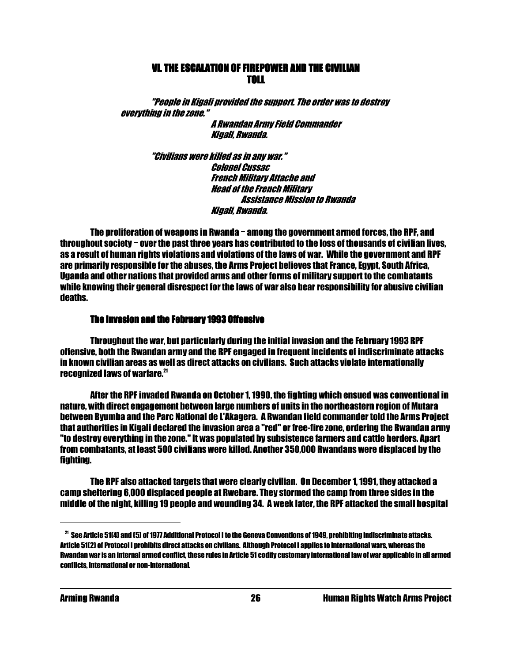### VI. THE ESCALATION OF FIREPOWER AND THE CIVILIAN **TOLL AND RESIDENT OF A STATE OF A STATE OF A STATE OF A STATE OF A STATE OF A STATE OF A STATE OF A STATE OF A**

 "People in Kigali provided the support. The order was to destroy everything in the zone."

 A Rwandan Army Field Commander Kigali, Rwanda.

 "Civilians were killed as in any war." Colonel Cussac French Military Attache and Head of the French Military Assistance Mission to Rwanda Kigali, Rwanda.

The proliferation of weapons in Rwanda  $-$  among the government armed forces, the RPF, and throughout society  $-$  over the past three years has contributed to the loss of thousands of civilian lives, as a result of human rights violations and violations of the laws of war. While the government and RPF are primarily responsible for the abuses, the Arms Project believes that France, Egypt, South Africa, Uganda and other nations that provided arms and other forms of military support to the combatants while knowing their general disrespect for the laws of war also bear responsibility for abusive civilian deaths.

#### The Invasion and the February 1993 Offensive

 Throughout the war, but particularly during the initial invasion and the February 1993 RPF offensive, both the Rwandan army and the RPF engaged in frequent incidents of indiscriminate attacks in known civilian areas as well as direct attacks on civilians. Such attacks violate internationally recognized laws of warfare.<sup>21</sup>

 After the RPF invaded Rwanda on October 1, 1990, the fighting which ensued was conventional in nature, with direct engagement between large numbers of units in the northeastern region of Mutara between Byumba and the Parc National de L'Akagera. A Rwandan field commander told the Arms Project that authorities in Kigali declared the invasion area a "red" or free-fire zone, ordering the Rwandan army "to destroy everything in the zone." It was populated by subsistence farmers and cattle herders. Apart from combatants, at least 500 civilians were killed. Another 350,000 Rwandans were displaced by the fighting.

 The RPF also attacked targets that were clearly civilian. On December 1, 1991, they attacked a camp sheltering 6,000 displaced people at Rwebare. They stormed the camp from three sides in the middle of the night, killing 19 people and wounding 34. A week later, the RPF attacked the small hospital

 $^{21}$  See Article 51(4) and (5) of 1977 Additional Protocol I to the Geneva Conventions of 1949, prohibiting indiscriminate attacks. Article 51(2) of Protocol I prohibits direct attacks on civilians. Although Protocol I applies to international wars, whereas the Rwandan war is an internal armed conflict, these rules in Article 51 codify customary international law of war applicable in all armed conflicts, international or non-international.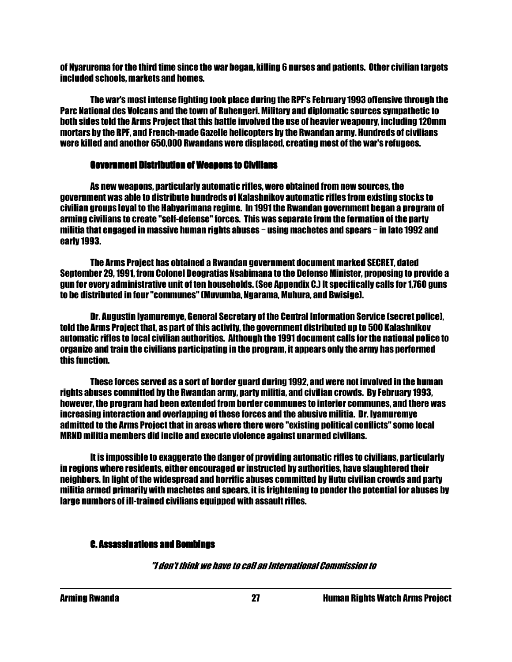of Nyarurema for the third time since the war began, killing 6 nurses and patients. Other civilian targets included schools, markets and homes.

 The war's most intense fighting took place during the RPF's February 1993 offensive through the Parc National des Volcans and the town of Ruhengeri. Military and diplomatic sources sympathetic to both sides told the Arms Project that this battle involved the use of heavier weaponry, including 120mm mortars by the RPF, and French-made Gazelle helicopters by the Rwandan army. Hundreds of civilians were killed and another 650,000 Rwandans were displaced, creating most of the war's refugees.

#### **Government Distribution of Weapons to Civilians**

 As new weapons, particularly automatic rifles, were obtained from new sources, the government was able to distribute hundreds of Kalashnikov automatic rifles from existing stocks to civilian groups loyal to the Habyarimana regime. In 1991 the Rwandan government began a program of arming civilians to create "self-defense" forces. This was separate from the formation of the party militia that engaged in massive human rights abuses  $-$  using machetes and spears  $-$  in late 1992 and early 1993.

 The Arms Project has obtained a Rwandan government document marked SECRET, dated September 29, 1991, from Colonel Deogratias Nsabimana to the Defense Minister, proposing to provide a gun for every administrative unit of ten households. (See Appendix C.) It specifically calls for 1,760 guns to be distributed in four "communes" (Muvumba, Ngarama, Muhura, and Bwisige).

 Dr. Augustin Iyamuremye, General Secretary of the Central Information Service (secret police), told the Arms Project that, as part of this activity, the government distributed up to 500 Kalashnikov automatic rifles to local civilian authorities. Although the 1991 document calls for the national police to organize and train the civilians participating in the program, it appears only the army has performed this function.

 These forces served as a sort of border guard during 1992, and were not involved in the human rights abuses committed by the Rwandan army, party militia, and civilian crowds. By February 1993, however, the program had been extended from border communes to interior communes, and there was increasing interaction and overlapping of these forces and the abusive militia. Dr. Iyamuremye admitted to the Arms Project that in areas where there were "existing political conflicts" some local MRND militia members did incite and execute violence against unarmed civilians.

 It is impossible to exaggerate the danger of providing automatic rifles to civilians, particularly in regions where residents, either encouraged or instructed by authorities, have slaughtered their neighbors. In light of the widespread and horrific abuses committed by Hutu civilian crowds and party militia armed primarily with machetes and spears, it is frightening to ponder the potential for abuses by large numbers of ill-trained civilians equipped with assault rifles.

#### **C. Assassinations and Bombings**

"I don't think we have to call an International Commission to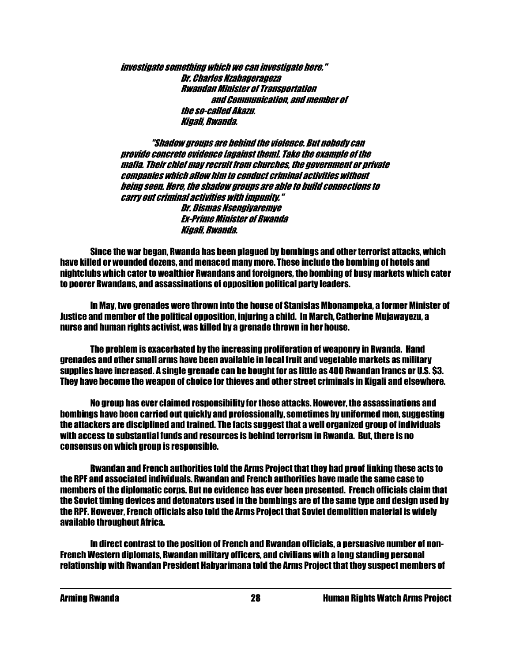investigate something which we can investigate here." Dr. Charles Nzabagerageza Rwandan Minister of Transportation and Communication, and member of the so-called Akazu. Kigali, Rwanda.

 "Shadow groups are behind the violence. But nobody can provide concrete evidence [against them]. Take the example of the mafia. Their chief may recruit from churches, the government or private companies which allow him to conduct criminal activities without being seen. Here, the shadow groups are able to build connections to carry out criminal activities with impunity." Dr. Dismas Nsengiyaremye Ex-Prime Minister of Rwanda Kigali, Rwanda.

 Since the war began, Rwanda has been plagued by bombings and other terrorist attacks, which have killed or wounded dozens, and menaced many more. These include the bombing of hotels and nightclubs which cater to wealthier Rwandans and foreigners, the bombing of busy markets which cater to poorer Rwandans, and assassinations of opposition political party leaders.

 In May, two grenades were thrown into the house of Stanislas Mbonampeka, a former Minister of Justice and member of the political opposition, injuring a child. In March, Catherine Mujawayezu, a nurse and human rights activist, was killed by a grenade thrown in her house.

 The problem is exacerbated by the increasing proliferation of weaponry in Rwanda. Hand grenades and other small arms have been available in local fruit and vegetable markets as military supplies have increased. A single grenade can be bought for as little as 400 Rwandan francs or U.S. \$3. They have become the weapon of choice for thieves and other street criminals in Kigali and elsewhere.

 No group has ever claimed responsibility for these attacks. However, the assassinations and bombings have been carried out quickly and professionally, sometimes by uniformed men, suggesting the attackers are disciplined and trained. The facts suggest that a well organized group of individuals with access to substantial funds and resources is behind terrorism in Rwanda. But, there is no consensus on which group is responsible.

 Rwandan and French authorities told the Arms Project that they had proof linking these acts to the RPF and associated individuals. Rwandan and French authorities have made the same case to members of the diplomatic corps. But no evidence has ever been presented. French officials claim that the Soviet timing devices and detonators used in the bombings are of the same type and design used by the RPF. However, French officials also told the Arms Project that Soviet demolition material is widely available throughout Africa.

 In direct contrast to the position of French and Rwandan officials, a persuasive number of non-French Western diplomats, Rwandan military officers, and civilians with a long standing personal relationship with Rwandan President Habyarimana told the Arms Project that they suspect members of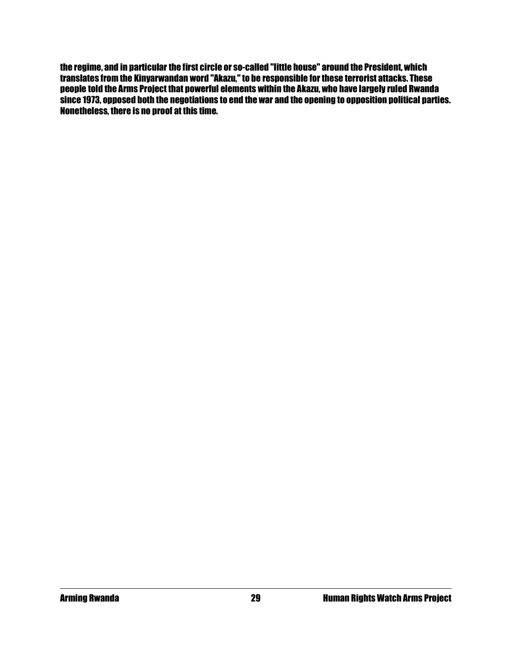the regime, and in particular the first circle or so-called "little house" around the President, which translates from the Kinyarwandan word "Akazu," to be responsible for these terrorist attacks. These people told the Arms Project that powerful elements within the Akazu, who have largely ruled Rwanda since 1973, opposed both the negotiations to end the war and the opening to opposition political parties. Nonetheless, there is no proof at this time.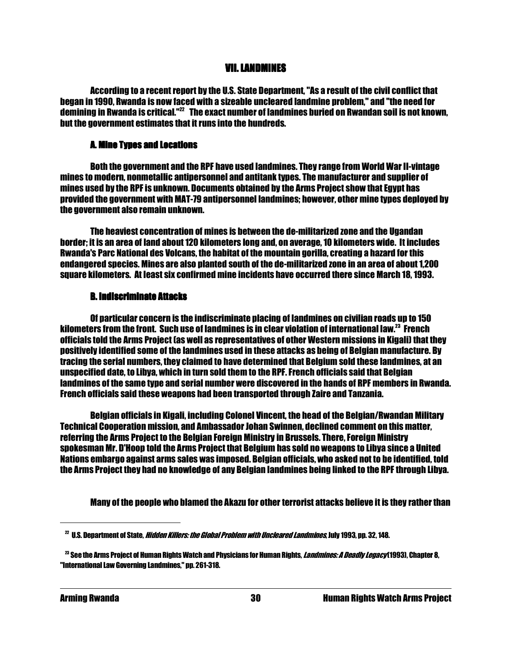#### VII. LANDMINES

 According to a recent report by the U.S. State Department, "As a result of the civil conflict that began in 1990, Rwanda is now faced with a sizeable uncleared landmine problem," and "the need for demining in Rwanda is critical."<sup>22</sup> The exact number of landmines buried on Rwandan soil is not known, but the government estimates that it runs into the hundreds.

#### **A. Mine Types and Locations**

 Both the government and the RPF have used landmines. They range from World War II-vintage mines to modern, nonmetallic antipersonnel and antitank types. The manufacturer and supplier of mines used by the RPF is unknown. Documents obtained by the Arms Project show that Egypt has provided the government with MAT-79 antipersonnel landmines; however, other mine types deployed by the government also remain unknown.

 The heaviest concentration of mines is between the de-militarized zone and the Ugandan border; it is an area of land about 120 kilometers long and, on average, 10 kilometers wide. It includes Rwanda's Parc National des Volcans, the habitat of the mountain gorilla, creating a hazard for this endangered species. Mines are also planted south of the de-militarized zone in an area of about 1,200 square kilometers. At least six confirmed mine incidents have occurred there since March 18, 1993.

#### **B. Indiscriminate Attacks**

 Of particular concern is the indiscriminate placing of landmines on civilian roads up to 150 kilometers from the front. Such use of landmines is in clear violation of international law.<sup>23</sup> French officials told the Arms Project (as well as representatives of other Western missions in Kigali) that they positively identified some of the landmines used in these attacks as being of Belgian manufacture. By tracing the serial numbers, they claimed to have determined that Belgium sold these landmines, at an unspecified date, to Libya, which in turn sold them to the RPF. French officials said that Belgian landmines of the same type and serial number were discovered in the hands of RPF members in Rwanda. French officials said these weapons had been transported through Zaire and Tanzania.

 Belgian officials in Kigali, including Colonel Vincent, the head of the Belgian/Rwandan Military Technical Cooperation mission, and Ambassador Johan Swinnen, declined comment on this matter, referring the Arms Project to the Belgian Foreign Ministry in Brussels. There, Foreign Ministry spokesman Mr. D'Hoop told the Arms Project that Belgium has sold no weapons to Libya since a United Nations embargo against arms sales was imposed. Belgian officials, who asked not to be identified, told the Arms Project they had no knowledge of any Belgian landmines being linked to the RPF through Libya.

Many of the people who blamed the Akazu for other terrorist attacks believe it is they rather than

 $^{22}$  U.S. Department of State, *Hidden Killers: the Global Problem with Uncleared Landmines*, July 1993, pp. 32, 148.

<sup>&</sup>lt;sup>23</sup> See the Arms Project of Human Rights Watch and Physicians for Human Rights, *Landmines: A Deadly Legacy* (1993), Chapter 8, "International Law Governing Landmines," pp. 261-318.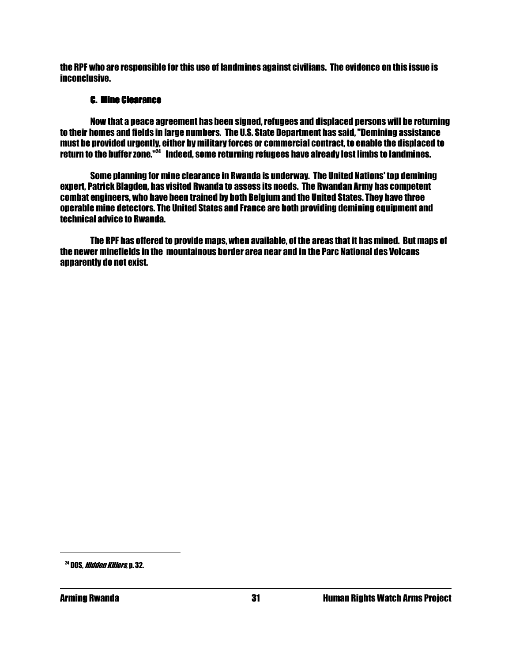the RPF who are responsible for this use of landmines against civilians. The evidence on this issue is inconclusive.

#### **C. Mine Clearance**

 Now that a peace agreement has been signed, refugees and displaced persons will be returning to their homes and fields in large numbers. The U.S. State Department has said, "Demining assistance must be provided urgently, either by military forces or commercial contract, to enable the displaced to return to the buffer zone."<sup>24</sup> Indeed, some returning refugees have already lost limbs to landmines.

 Some planning for mine clearance in Rwanda is underway. The United Nations' top demining expert, Patrick Blagden, has visited Rwanda to assess its needs. The Rwandan Army has competent combat engineers, who have been trained by both Belgium and the United States. They have three operable mine detectors. The United States and France are both providing demining equipment and technical advice to Rwanda.

 The RPF has offered to provide maps, when available, of the areas that it has mined. But maps of the newer minefields in the mountainous border area near and in the Parc National des Volcans apparently do not exist.

<sup>&</sup>lt;sup>24</sup> DOS. *Hidden Killers*, p. 32.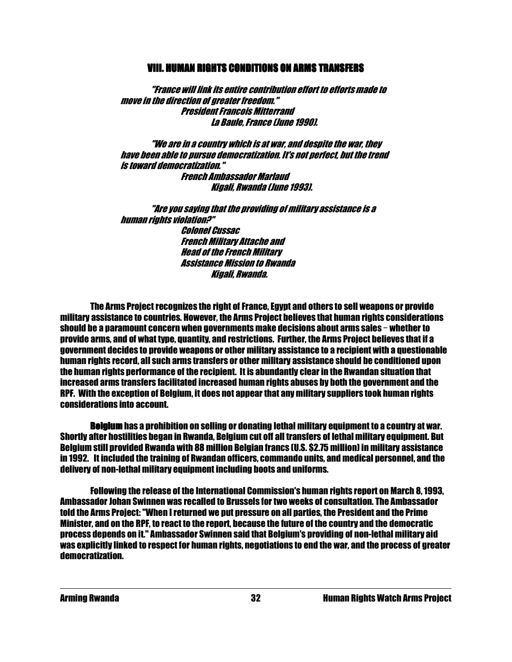#### VIII. HUMAN RIGHTS CONDITIONS ON ARMS TRANSFERS VIII. HUMAN RIGHTS CONDITIONS ON ARMS TRANSFERS VIII. HUMAN ON TRANSFERS

 "France will link its entire contribution effort to efforts made to move in the direction of greater freedom." President Francois Mitterrand La Baule, France (June 1990).

 "We are in a country which is at war, and despite the war, they have been able to pursue democratization. It's not perfect, but the trend is toward democratization." French Ambassador Marlaud Kigali, Rwanda (June 1993).

 "Are you saying that the providing of military assistance is a human rights violation?" Colonel Cussac French Military Attache and Head of the French Military Assistance Mission to Rwanda Kigali, Rwanda.

 The Arms Project recognizes the right of France, Egypt and others to sell weapons or provide military assistance to countries. However, the Arms Project believes that human rights considerations should be a paramount concern when governments make decisions about arms sales  $-$  whether to provide arms, and of what type, quantity, and restrictions. Further, the Arms Project believes that if a government decides to provide weapons or other military assistance to a recipient with a questionable human rights record, all such arms transfers or other military assistance should be conditioned upon the human rights performance of the recipient. It is abundantly clear in the Rwandan situation that increased arms transfers facilitated increased human rights abuses by both the government and the RPF. With the exception of Belgium, it does not appear that any military suppliers took human rights considerations into account.

 Belgium Belgium has a prohibition on selling or donating lethal military equipment to a country at war. Shortly after hostilities began in Rwanda, Belgium cut off all transfers of lethal military equipment. But Belgium still provided Rwanda with 88 million Belgian francs (U.S. \$2.75 million) in military assistance in 1992. It included the training of Rwandan officers, commando units, and medical personnel, and the delivery of non-lethal military equipment including boots and uniforms.

 Following the release of the International Commission's human rights report on March 8, 1993, Ambassador Johan Swinnen was recalled to Brussels for two weeks of consultation. The Ambassador told the Arms Project: "When I returned we put pressure on all parties, the President and the Prime Minister, and on the RPF, to react to the report, because the future of the country and the democratic process depends on it." Ambassador Swinnen said that Belgium's providing of non-lethal military aid was explicitly linked to respect for human rights, negotiations to end the war, and the process of greater democratization.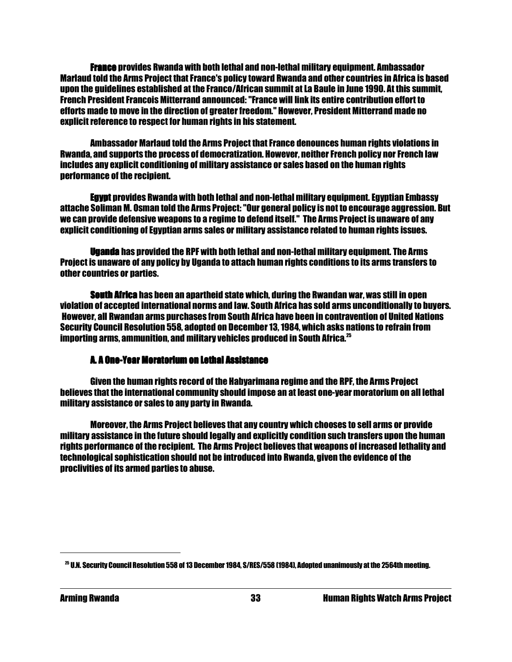France provides Rwanda with both lethal and non-lethal military equipment. Ambassador Marlaud told the Arms Project that France's policy toward Rwanda and other countries in Africa is based upon the guidelines established at the Franco/African summit at La Baule in June 1990. At this summit, French President Francois Mitterrand announced: "France will link its entire contribution effort to efforts made to move in the direction of greater freedom." However, President Mitterrand made no explicit reference to respect for human rights in his statement.

 Ambassador Marlaud told the Arms Project that France denounces human rights violations in Rwanda, and supports the process of democratization. However, neither French policy nor French law includes any explicit conditioning of military assistance or sales based on the human rights performance of the recipient.

 Egypt provides Rwanda with both lethal and non-lethal military equipment. Egyptian Embassy attache Soliman M. Osman told the Arms Project: "Our general policy is not to encourage aggression. But we can provide defensive weapons to a regime to defend itself." The Arms Project is unaware of any explicit conditioning of Egyptian arms sales or military assistance related to human rights issues.

 Uganda has provided the RPF with both lethal and non-lethal military equipment. The Arms Project is unaware of any policy by Uganda to attach human rights conditions to its arms transfers to other countries or parties.

South Africa has been an apartheid state which, during the Rwandan war, was still in open violation of accepted international norms and law. South Africa has sold arms unconditionally to buyers. However, all Rwandan arms purchases from South Africa have been in contravention of United Nations Security Council Resolution 558, adopted on December 13, 1984, which asks nations to refrain from importing arms, ammunition, and military vehicles produced in South Africa. $^{25}$ 

#### A. A One-Year Moratorium on Lethal Assistance Year Moratorium Assistance

 Given the human rights record of the Habyarimana regime and the RPF, the Arms Project believes that the international community should impose an at least one-year moratorium on all lethal military assistance or sales to any party in Rwanda.

 Moreover, the Arms Project believes that any country which chooses to sell arms or provide military assistance in the future should legally and explicitly condition such transfers upon the human rights performance of the recipient. The Arms Project believes that weapons of increased lethality and technological sophistication should not be introduced into Rwanda, given the evidence of the proclivities of its armed parties to abuse.

<sup>25</sup> U.N. Security Council Resolution 558 of 13 December 1984, S/RES/558 (1984), Adopted unanimously at the 2564th meeting.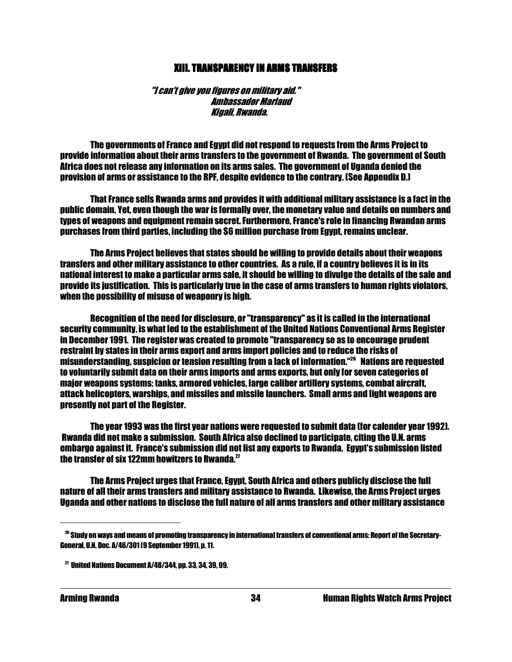#### XIII. TRANSPARENCY IN ARMS TRANSFERS XIII. TRANSPARENCY IN ARMS TRANSFERS XIII. TRANSPARENCY TRANSFERS

 "I can't give you figures on military aid." Ambassador Marlaud Kigali, Rwanda.

 The governments of France and Egypt did not respond to requests from the Arms Project to provide information about their arms transfers to the government of Rwanda. The government of South Africa does not release any information on its arms sales. The government of Uganda denied the provision of arms or assistance to the RPF, despite evidence to the contrary. (See Appendix D.)

 That France sells Rwanda arms and provides it with additional military assistance is a fact in the public domain. Yet, even though the war is formally over, the monetary value and details on numbers and types of weapons and equipment remain secret. Furthermore, France's role in financing Rwandan arms purchases from third parties, including the \$6 million purchase from Egypt, remains unclear.

 The Arms Project believes that states should be willing to provide details about their weapons transfers and other military assistance to other countries. As a rule, if a country believes it is in its national interest to make a particular arms sale, it should be willing to divulge the details of the sale and provide its justification. This is particularly true in the case of arms transfers to human rights violators, when the possibility of misuse of weaponry is high.

 Recognition of the need for disclosure, or "transparency" as it is called in the international security community, is what led to the establishment of the United Nations Conventional Arms Register in December 1991. The register was created to promote "transparency so as to encourage prudent restraint by states in their arms export and arms import policies and to reduce the risks of misunderstanding, suspicion or tension resulting from a lack of information."<sup>26</sup> Nations are requested to voluntarily submit data on their arms imports and arms exports, but only for seven categories of major weapons systems: tanks, armored vehicles, large caliber artillery systems, combat aircraft, attack helicopters, warships, and missiles and missile launchers. Small arms and light weapons are presently not part of the Register.

 The year 1993 was the first year nations were requested to submit data (for calender year 1992). Rwanda did not make a submission. South Africa also declined to participate, citing the U.N. arms embargo against it. France's submission did not list any exports to Rwanda. Egypt's submission listed the transfer of six 122mm howitzers to Rwanda.<sup>27</sup>

 The Arms Project urges that France, Egypt, South Africa and others publicly disclose the full nature of all their arms transfers and military assistance to Rwanda. Likewise, the Arms Project urges Uganda and other nations to disclose the full nature of all arms transfers and other military assistance

 $^{26}$  Study on ways and means of promoting transparency in international transfers of conventional arms: Report of the Secretary-General, U.N. Doc. A/46/301 (9 September 1991), p. 11.

 $^{27}$  United Nations Document A/48/344, pp. 33, 34, 39, 99.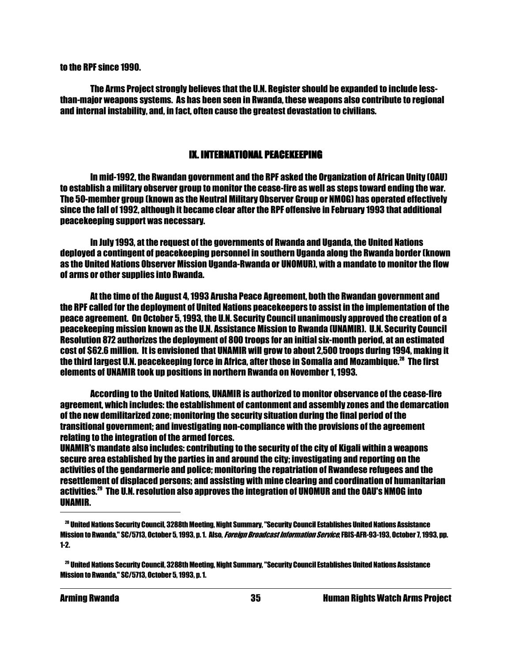to the RPF since 1990.

 The Arms Project strongly believes that the U.N. Register should be expanded to include lessthan-major weapons systems. As has been seen in Rwanda, these weapons also contribute to regional and internal instability, and, in fact, often cause the greatest devastation to civilians.

### IX. INTERNATIONAL PEACEKEEPING

 In mid-1992, the Rwandan government and the RPF asked the Organization of African Unity (OAU) to establish a military observer group to monitor the cease-fire as well as steps toward ending the war. The 50-member group (known as the Neutral Military Observer Group or NMOG) has operated effectively since the fall of 1992, although it became clear after the RPF offensive in February 1993 that additional peacekeeping support was necessary.

 In July 1993, at the request of the governments of Rwanda and Uganda, the United Nations deployed a contingent of peacekeeping personnel in southern Uganda along the Rwanda border (known as the United Nations Observer Mission Uganda-Rwanda or UNOMUR), with a mandate to monitor the flow of arms or other supplies into Rwanda.

 At the time of the August 4, 1993 Arusha Peace Agreement, both the Rwandan government and the RPF called for the deployment of United Nations peacekeepers to assist in the implementation of the peace agreement. On October 5, 1993, the U.N. Security Council unanimously approved the creation of a peacekeeping mission known as the U.N. Assistance Mission to Rwanda (UNAMIR). U.N. Security Council Resolution 872 authorizes the deployment of 800 troops for an initial six-month period, at an estimated cost of \$62.6 million. It is envisioned that UNAMIR will grow to about 2,500 troops during 1994, making it the third largest U.N. peacekeeping force in Africa, after those in Somalia and Mozambique.<sup>28</sup> The first elements of UNAMIR took up positions in northern Rwanda on November 1, 1993.

 According to the United Nations, UNAMIR is authorized to monitor observance of the cease-fire agreement, which includes: the establishment of cantonment and assembly zones and the demarcation of the new demilitarized zone; monitoring the security situation during the final period of the transitional government; and investigating non-compliance with the provisions of the agreement relating to the integration of the armed forces.

UNAMIR's mandate also includes: contributing to the security of the city of Kigali within a weapons secure area established by the parties in and around the city; investigating and reporting on the activities of the gendarmerie and police; monitoring the repatriation of Rwandese refugees and the resettlement of displaced persons; and assisting with mine clearing and coordination of humanitarian activities.<sup>29</sup> The U.N. resolution also approves the integration of UNOMUR and the OAU's NMOG into UNAMIR.

<sup>28</sup> United Nations Security Council, 3288th Meeting, Night Summary, "Security Council Establishes United Nations Assistance Mission to Rwanda," SC/5713, October 5, 1993, p. 1. Also, *Foreign Broadcast Information Service*, FBIS-AFR-93-193, October 7, 1993, pp. 1-2.

<sup>29</sup> United Nations Security Council, 3288th Meeting, Night Summary, "Security Council Establishes United Nations Assistance Mission to Rwanda," SC/5713, October 5, 1993, p. 1.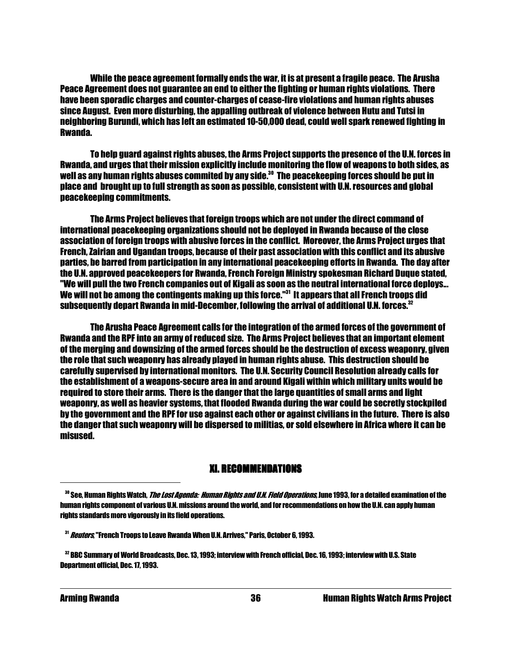While the peace agreement formally ends the war, it is at present a fragile peace. The Arusha Peace Agreement does not guarantee an end to either the fighting or human rights violations. There have been sporadic charges and counter-charges of cease-fire violations and human rights abuses since August. Even more disturbing, the appalling outbreak of violence between Hutu and Tutsi in neighboring Burundi, which has left an estimated 10-50,000 dead, could well spark renewed fighting in Rwanda.

 To help guard against rights abuses, the Arms Project supports the presence of the U.N. forces in Rwanda, and urges that their mission explicitly include monitoring the flow of weapons to both sides, as well as any human rights abuses commited by any side.<sup>30</sup> The peacekeeping forces should be put in place and brought up to full strength as soon as possible, consistent with U.N. resources and global peacekeeping commitments.

 The Arms Project believes that foreign troops which are not under the direct command of international peacekeeping organizations should not be deployed in Rwanda because of the close association of foreign troops with abusive forces in the conflict. Moreover, the Arms Project urges that French, Zairian and Ugandan troops, because of their past association with this conflict and its abusive parties, be barred from participation in any international peacekeeping efforts in Rwanda. The day after the U.N. approved peacekeepers for Rwanda, French Foreign Ministry spokesman Richard Duque stated, "We will pull the two French companies out of Kigali as soon as the neutral international force deploys... We will not be among the contingents making up this force."<sup>31</sup> It appears that all French troops did subsequently depart Rwanda in mid-December, following the arrival of additional U.N. forces.<sup>32</sup>

 The Arusha Peace Agreement calls for the integration of the armed forces of the government of Rwanda and the RPF into an army of reduced size. The Arms Project believes that an important element of the merging and downsizing of the armed forces should be the destruction of excess weaponry, given the role that such weaponry has already played in human rights abuse. This destruction should be carefully supervised by international monitors. The U.N. Security Council Resolution already calls for the establishment of a weapons-secure area in and around Kigali within which military units would be required to store their arms. There is the danger that the large quantities of small arms and light weaponry, as well as heavier systems, that flooded Rwanda during the war could be secretly stockpiled by the government and the RPF for use against each other or against civilians in the future. There is also the danger that such weaponry will be dispersed to militias, or sold elsewhere in Africa where it can be misused.

#### **XI. RECOMMENDATIONS**

<sup>&</sup>lt;sup>30</sup> See, Human Rights Watch, *The Lost Agenda: Human Rights and U.H. Field Operations,* June 1993, for a detailed examination of the human rights component of various U.N. missions around the world, and for recommendations on how the U.N. can apply human rights standards more vigorously in its field operations.

<sup>&</sup>lt;sup>31</sup> *Reuters*, "French Troops to Leave Rwanda When U.N. Arrives," Paris, October 6, 1993.

<sup>&</sup>lt;sup>32</sup> BBC Summary of World Broadcasts, Dec. 13, 1993; interview with French official, Dec. 16, 1993; interview with U.S. State Department official, Dec. 17, 1993.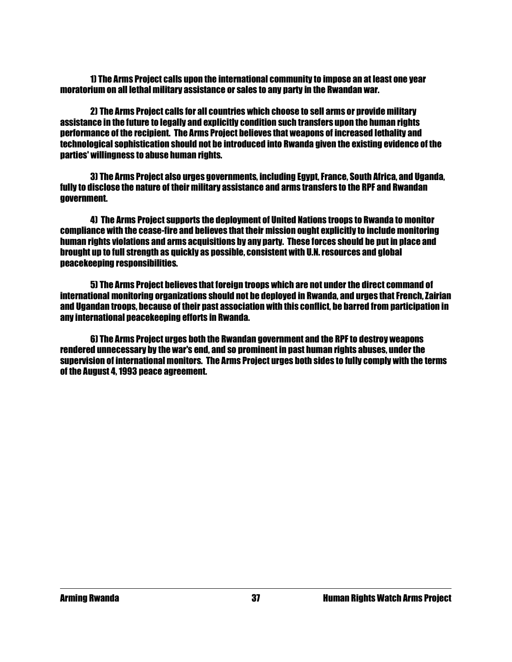1) The Arms Project calls upon the international community to impose an at least one year moratorium on all lethal military assistance or sales to any party in the Rwandan war.

 2) The Arms Project calls for all countries which choose to sell arms or provide military assistance in the future to legally and explicitly condition such transfers upon the human rights performance of the recipient. The Arms Project believes that weapons of increased lethality and technological sophistication should not be introduced into Rwanda given the existing evidence of the parties' willingness to abuse human rights.

 3) The Arms Project also urges governments, including Egypt, France, South Africa, and Uganda, fully to disclose the nature of their military assistance and arms transfers to the RPF and Rwandan government.

 4) The Arms Project supports the deployment of United Nations troops to Rwanda to monitor compliance with the cease-fire and believes that their mission ought explicitly to include monitoring human rights violations and arms acquisitions by any party. These forces should be put in place and brought up to full strength as quickly as possible, consistent with U.N. resources and global peacekeeping responsibilities.

 5) The Arms Project believes that foreign troops which are not under the direct command of international monitoring organizations should not be deployed in Rwanda, and urges that French, Zairian and Ugandan troops, because of their past association with this conflict, be barred from participation in any international peacekeeping efforts in Rwanda.

 6) The Arms Project urges both the Rwandan government and the RPF to destroy weapons rendered unnecessary by the war's end, and so prominent in past human rights abuses, under the supervision of international monitors. The Arms Project urges both sides to fully comply with the terms of the August 4, 1993 peace agreement.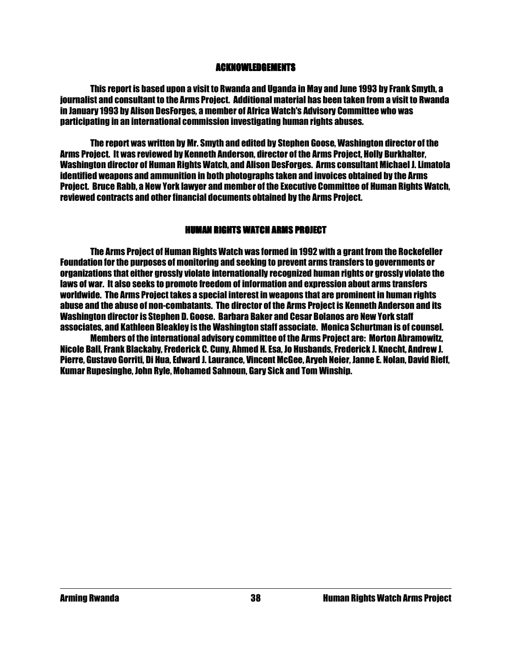#### ACKNOWLEDGEMENTS ACKNOWLEDGEMENTS

 This report is based upon a visit to Rwanda and Uganda in May and June 1993 by Frank Smyth, a journalist and consultant to the Arms Project. Additional material has been taken from a visit to Rwanda in January 1993 by Alison DesForges, a member of Africa Watch's Advisory Committee who was participating in an international commission investigating human rights abuses.

 The report was written by Mr. Smyth and edited by Stephen Goose, Washington director of the Arms Project. It was reviewed by Kenneth Anderson, director of the Arms Project, Holly Burkhalter, Washington director of Human Rights Watch, and Alison DesForges. Arms consultant Michael J. Limatola identified weapons and ammunition in both photographs taken and invoices obtained by the Arms Project. Bruce Rabb, a New York lawyer and member of the Executive Committee of Human Rights Watch, reviewed contracts and other financial documents obtained by the Arms Project.

#### HUMAN RIGHTS WATCH ARMS PROJECT

 The Arms Project of Human Rights Watch was formed in 1992 with a grant from the Rockefeller Foundation for the purposes of monitoring and seeking to prevent arms transfers to governments or organizations that either grossly violate internationally recognized human rights or grossly violate the laws of war. It also seeks to promote freedom of information and expression about arms transfers worldwide. The Arms Project takes a special interest in weapons that are prominent in human rights abuse and the abuse of non-combatants. The director of the Arms Project is Kenneth Anderson and its Washington director is Stephen D. Goose. Barbara Baker and Cesar Bolanos are New York staff associates, and Kathleen Bleakley is the Washington staff associate. Monica Schurtman is of counsel.

 Members of the international advisory committee of the Arms Project are: Morton Abramowitz, Nicole Ball, Frank Blackaby, Frederick C. Cuny, Ahmed H. Esa, Jo Husbands, Frederick J. Knecht, Andrew J. Pierre, Gustavo Gorriti, Di Hua, Edward J. Laurance, Vincent McGee, Aryeh Neier, Janne E. Nolan, David Rieff, Kumar Rupesinghe, John Ryle, Mohamed Sahnoun, Gary Sick and Tom Winship.